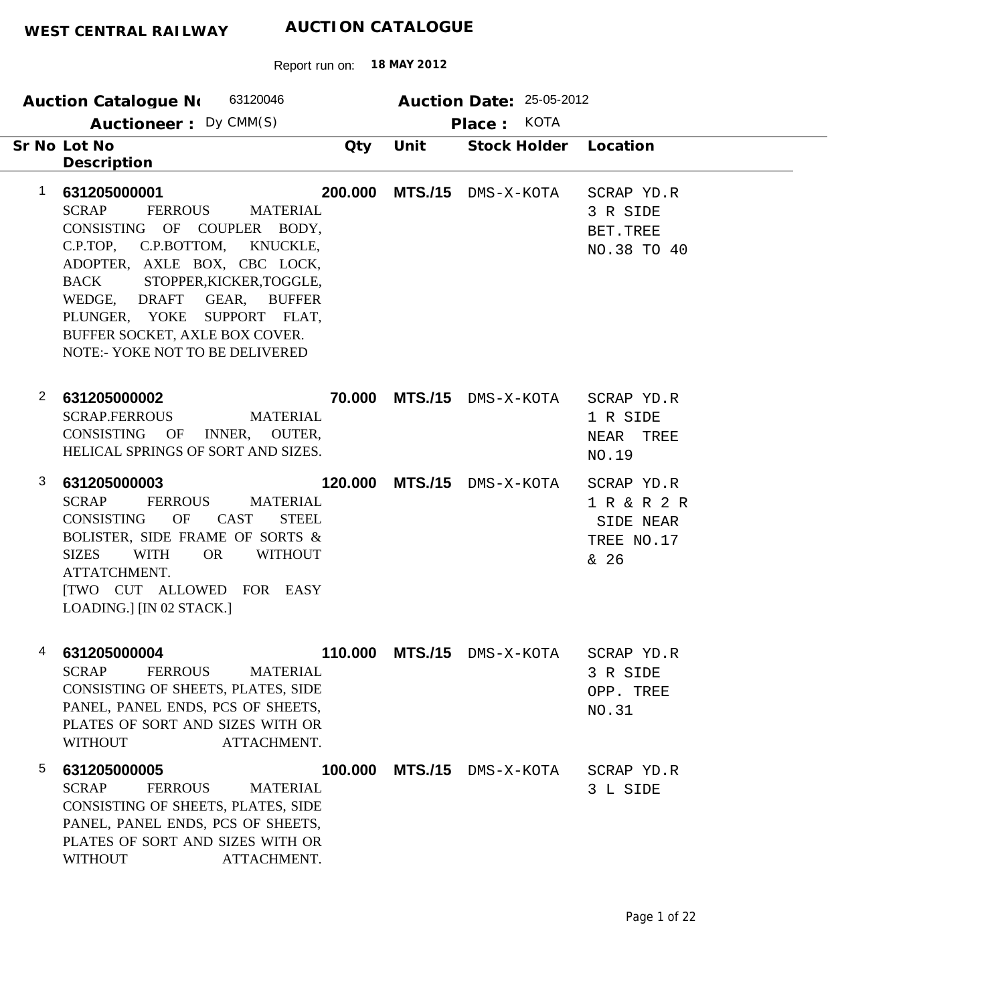| WEST CENTRAL RAILWAY |                            | AUCTION CATALOUDL               |  |
|----------------------|----------------------------|---------------------------------|--|
|                      | Report run on: 18 MAY 2012 |                                 |  |
| Auction Catalogue No | 63120046                   | <b>Auction Date: 25-05-2012</b> |  |

|              | Auctioneer: Dy CMM(S)                                                                                                                                                                                                                                                                                                                               |         |                | KOTA<br>Place:            |                                                              |
|--------------|-----------------------------------------------------------------------------------------------------------------------------------------------------------------------------------------------------------------------------------------------------------------------------------------------------------------------------------------------------|---------|----------------|---------------------------|--------------------------------------------------------------|
|              | Sr No Lot No<br>Description                                                                                                                                                                                                                                                                                                                         | Qty     | Unit           | Stock Holder              | Location                                                     |
| 1            | 631205000001<br><b>SCRAP</b><br><b>FERROUS</b><br><b>MATERIAL</b><br>CONSISTING OF COUPLER BODY,<br>C.P.TOP, C.P.BOTTOM,<br>KNUCKLE,<br>ADOPTER, AXLE BOX, CBC LOCK,<br>STOPPER, KICKER, TOGGLE,<br><b>BACK</b><br>WEDGE, DRAFT<br>GEAR, BUFFER<br>PLUNGER, YOKE SUPPORT FLAT,<br>BUFFER SOCKET, AXLE BOX COVER.<br>NOTE:- YOKE NOT TO BE DELIVERED | 200.000 | <b>MTS./15</b> | DMS-X-KOTA                | SCRAP YD.R<br>3 R SIDE<br>BET.TREE<br>NO.38 TO 40            |
| $\mathbf{2}$ | 631205000002<br><b>SCRAP.FERROUS</b><br><b>MATERIAL</b><br><b>CONSISTING</b><br>OF<br>INNER,<br><b>OUTER.</b><br>HELICAL SPRINGS OF SORT AND SIZES.                                                                                                                                                                                                 | 70.000  |                | <b>MTS./15</b> dms-x-kota | SCRAP YD.R<br>1 R SIDE<br>NEAR<br>TREE<br>NO.19              |
| 3            | 631205000003<br><b>SCRAP</b><br><b>FERROUS</b><br><b>MATERIAL</b><br><b>CONSISTING</b><br>OF<br><b>CAST</b><br><b>STEEL</b><br>BOLISTER, SIDE FRAME OF SORTS &<br><b>OR</b><br><b>WITHOUT</b><br><b>SIZES</b><br><b>WITH</b><br>ATTATCHMENT.<br>[TWO CUT ALLOWED FOR EASY<br>LOADING.] [IN 02 STACK.]                                               | 120.000 | <b>MTS./15</b> | DMS-X-KOTA                | SCRAP YD.R<br>1 R & R 2 R<br>SIDE NEAR<br>TREE NO.17<br>& 26 |
| 4            | 631205000004<br><b>SCRAP</b><br><b>FERROUS</b><br><b>MATERIAL</b><br>CONSISTING OF SHEETS, PLATES, SIDE<br>PANEL, PANEL ENDS, PCS OF SHEETS,<br>PLATES OF SORT AND SIZES WITH OR<br><b>WITHOUT</b><br>ATTACHMENT.                                                                                                                                   | 110.000 | <b>MTS./15</b> | DMS-X-KOTA                | SCRAP YD.R<br>3 R SIDE<br>OPP. TREE<br>NO.31                 |
| 5            | 631205000005<br><b>SCRAP</b><br><b>FERROUS</b><br><b>MATERIAL</b><br>CONSISTING OF SHEETS, PLATES, SIDE<br>PANEL, PANEL ENDS, PCS OF SHEETS,<br>PLATES OF SORT AND SIZES WITH OR                                                                                                                                                                    | 100.000 | <b>MTS./15</b> | DMS-X-KOTA                | SCRAP YD.R<br>3 L SIDE                                       |

WITHOUT ATTACHMENT.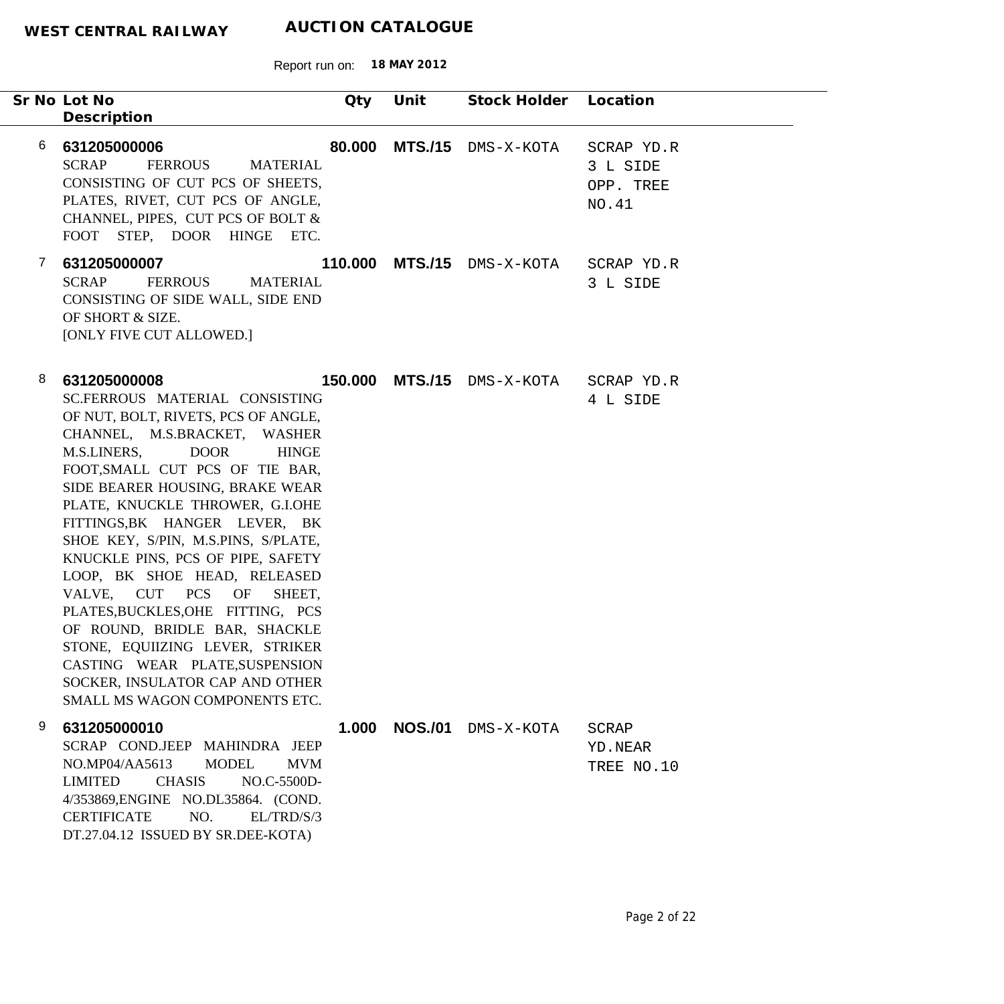|              | Sr No Lot No                                                                                                                                                                                                                                                                                                                                                                                                                                                                                                                                                                                                                                                             | Qty     | Unit           | Stock Holder Location      |                                              |
|--------------|--------------------------------------------------------------------------------------------------------------------------------------------------------------------------------------------------------------------------------------------------------------------------------------------------------------------------------------------------------------------------------------------------------------------------------------------------------------------------------------------------------------------------------------------------------------------------------------------------------------------------------------------------------------------------|---------|----------------|----------------------------|----------------------------------------------|
|              | Description                                                                                                                                                                                                                                                                                                                                                                                                                                                                                                                                                                                                                                                              |         |                |                            |                                              |
| 6            | 631205000006<br><b>SCRAP</b><br><b>FERROUS</b><br><b>MATERIAL</b><br>CONSISTING OF CUT PCS OF SHEETS,<br>PLATES, RIVET, CUT PCS OF ANGLE,<br>CHANNEL, PIPES, CUT PCS OF BOLT &<br>FOOT STEP, DOOR HINGE ETC.                                                                                                                                                                                                                                                                                                                                                                                                                                                             | 80.000  |                | <b>MTS./15</b> DMS-X-KOTA  | SCRAP YD.R<br>3 L SIDE<br>OPP. TREE<br>NO.41 |
| $\mathbf{7}$ | 631205000007<br><b>SCRAP</b><br><b>FERROUS</b><br><b>MATERIAL</b><br>CONSISTING OF SIDE WALL, SIDE END<br>OF SHORT & SIZE.<br>[ONLY FIVE CUT ALLOWED.]                                                                                                                                                                                                                                                                                                                                                                                                                                                                                                                   |         |                | 110.000 MTS./15 DMS-X-KOTA | SCRAP YD.R<br>3 L SIDE                       |
| 8            | 631205000008<br>SC.FERROUS MATERIAL CONSISTING<br>OF NUT, BOLT, RIVETS, PCS OF ANGLE,<br>CHANNEL, M.S.BRACKET, WASHER<br>M.S.LINERS,<br><b>DOOR</b><br><b>HINGE</b><br>FOOT, SMALL CUT PCS OF TIE BAR,<br>SIDE BEARER HOUSING, BRAKE WEAR<br>PLATE, KNUCKLE THROWER, G.I.OHE<br>FITTINGS, BK HANGER LEVER, BK<br>SHOE KEY, S/PIN, M.S.PINS, S/PLATE,<br>KNUCKLE PINS, PCS OF PIPE, SAFETY<br>LOOP, BK SHOE HEAD, RELEASED<br>VALVE, CUT PCS OF<br>SHEET,<br>PLATES, BUCKLES, OHE FITTING, PCS<br>OF ROUND, BRIDLE BAR, SHACKLE<br>STONE, EQUIIZING LEVER, STRIKER<br>CASTING WEAR PLATE, SUSPENSION<br>SOCKER, INSULATOR CAP AND OTHER<br>SMALL MS WAGON COMPONENTS ETC. | 150.000 |                | <b>MTS./15</b> DMS-X-KOTA  | SCRAP YD.R<br>4 L SIDE                       |
| 9            | 631205000010<br>SCRAP COND.JEEP MAHINDRA JEEP<br>NO.MP04/AA5613<br><b>MODEL</b><br><b>MVM</b><br><b>LIMITED</b><br><b>CHASIS</b><br>NO.C-5500D-<br>4/353869, ENGINE NO.DL35864. (COND.<br>NO.<br><b>CERTIFICATE</b><br>EL/TRD/S/3<br>DT.27.04.12 ISSUED BY SR.DEE-KOTA)                                                                                                                                                                                                                                                                                                                                                                                                  | 1.000   | <b>NOS./01</b> | DMS-X-KOTA                 | <b>SCRAP</b><br>YD.NEAR<br>TREE NO.10        |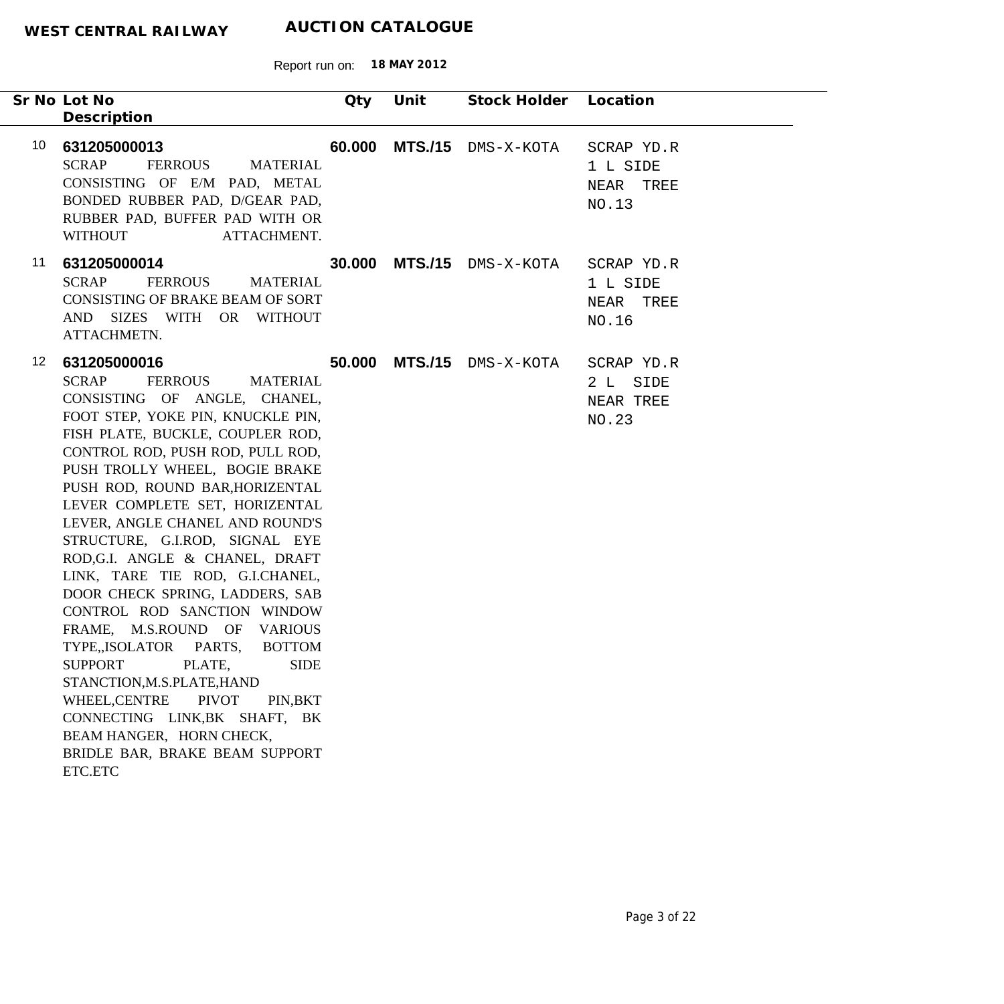|                  | Sr No Lot No<br>Description                                                                                                                                                                                                                                                                                                                                                                                                                                                                                                                                                                                                                                                                                                                                                                                                                 | Qty | Unit | Stock Holder Location            |                                              |
|------------------|---------------------------------------------------------------------------------------------------------------------------------------------------------------------------------------------------------------------------------------------------------------------------------------------------------------------------------------------------------------------------------------------------------------------------------------------------------------------------------------------------------------------------------------------------------------------------------------------------------------------------------------------------------------------------------------------------------------------------------------------------------------------------------------------------------------------------------------------|-----|------|----------------------------------|----------------------------------------------|
| 10               | 631205000013<br><b>SCRAP</b><br><b>FERROUS</b><br><b>MATERIAL</b><br>CONSISTING OF E/M PAD, METAL<br>BONDED RUBBER PAD, D/GEAR PAD,<br>RUBBER PAD, BUFFER PAD WITH OR<br><b>WITHOUT</b><br>ATTACHMENT.                                                                                                                                                                                                                                                                                                                                                                                                                                                                                                                                                                                                                                      |     |      | <b>60.000 MTS./15</b> DMS-X-KOTA | SCRAP YD.R<br>1 L SIDE<br>NEAR TREE<br>NO.13 |
| 11               | 631205000014<br><b>SCRAP</b><br><b>FERROUS</b><br><b>MATERIAL</b><br><b>CONSISTING OF BRAKE BEAM OF SORT</b><br>AND SIZES WITH OR WITHOUT<br>ATTACHMETN.                                                                                                                                                                                                                                                                                                                                                                                                                                                                                                                                                                                                                                                                                    |     |      | <b>30.000 MTS./15</b> DMS-X-KOTA | SCRAP YD.R<br>1 L SIDE<br>NEAR TREE<br>NO.16 |
| 12 <sup>12</sup> | 631205000016<br><b>SCRAP</b><br><b>FERROUS</b><br><b>MATERIAL</b><br>CONSISTING OF ANGLE, CHANEL,<br>FOOT STEP, YOKE PIN, KNUCKLE PIN,<br>FISH PLATE, BUCKLE, COUPLER ROD,<br>CONTROL ROD, PUSH ROD, PULL ROD,<br>PUSH TROLLY WHEEL, BOGIE BRAKE<br>PUSH ROD, ROUND BAR, HORIZENTAL<br>LEVER COMPLETE SET, HORIZENTAL<br>LEVER, ANGLE CHANEL AND ROUND'S<br>STRUCTURE, G.I.ROD, SIGNAL EYE<br>ROD, G.I. ANGLE & CHANEL, DRAFT<br>LINK, TARE TIE ROD, G.I.CHANEL,<br>DOOR CHECK SPRING, LADDERS, SAB<br>CONTROL ROD SANCTION WINDOW<br>FRAME, M.S.ROUND OF VARIOUS<br>TYPE, ISOLATOR PARTS,<br><b>BOTTOM</b><br><b>SUPPORT</b><br>PLATE,<br><b>SIDE</b><br>STANCTION, M.S.PLATE, HAND<br>WHEEL, CENTRE<br><b>PIVOT</b><br>PIN, BKT<br>CONNECTING LINK, BK SHAFT, BK<br>BEAM HANGER, HORN CHECK,<br>BRIDLE BAR, BRAKE BEAM SUPPORT<br>ETC.ETC |     |      | <b>50.000 MTS./15</b> DMS-X-KOTA | SCRAP YD.R<br>2 L SIDE<br>NEAR TREE<br>NO.23 |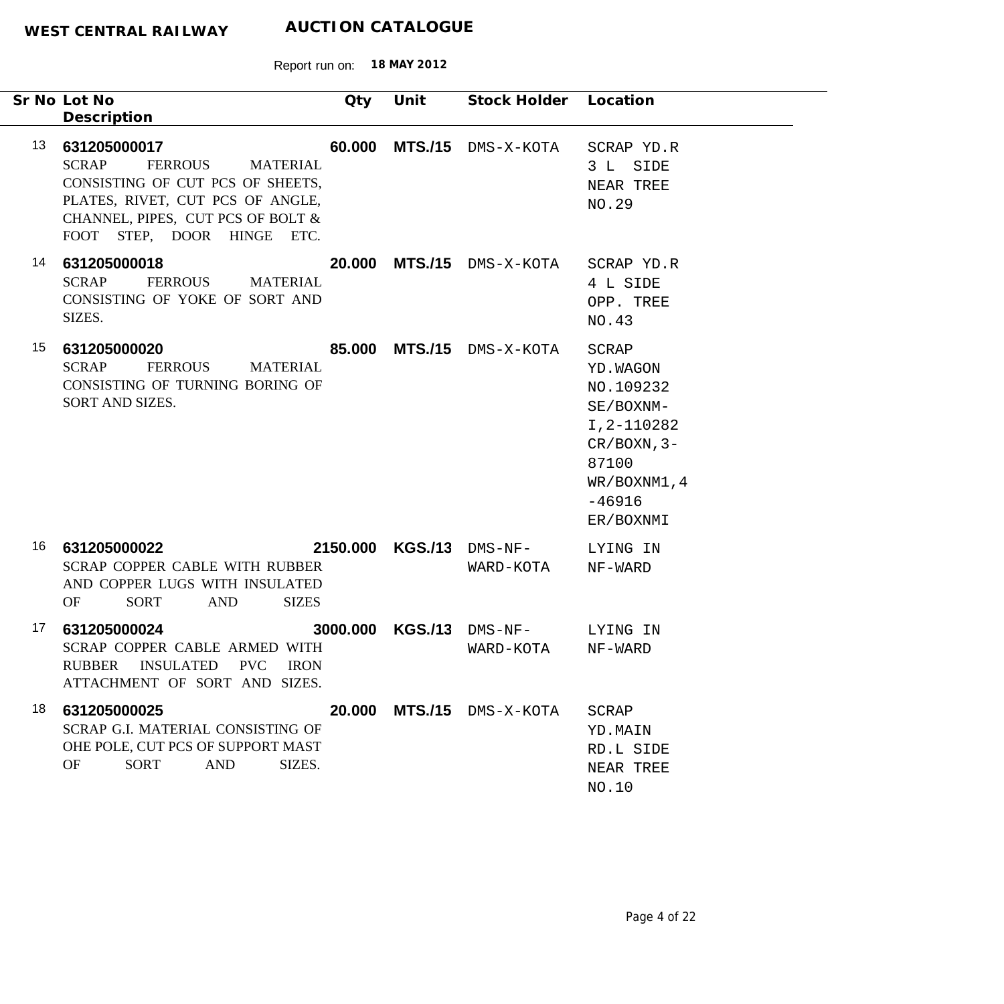| Sr No Lot No<br>Description                  |                                                                                                                                                                              | Qty    | Unit             | Stock Holder Location                 |                                                                                                                                |
|----------------------------------------------|------------------------------------------------------------------------------------------------------------------------------------------------------------------------------|--------|------------------|---------------------------------------|--------------------------------------------------------------------------------------------------------------------------------|
| 13<br>631205000017<br><b>SCRAP</b>           | <b>FERROUS</b><br><b>MATERIAL</b><br>CONSISTING OF CUT PCS OF SHEETS,<br>PLATES, RIVET, CUT PCS OF ANGLE,<br>CHANNEL, PIPES, CUT PCS OF BOLT &<br>FOOT STEP, DOOR HINGE ETC. | 60.000 | <b>MTS./15</b>   | DMS-X-KOTA                            | SCRAP YD.R<br>3 L SIDE<br>NEAR TREE<br>NO.29                                                                                   |
| 14<br>631205000018<br><b>SCRAP</b><br>SIZES. | <b>FERROUS</b><br><b>MATERIAL</b><br>CONSISTING OF YOKE OF SORT AND                                                                                                          |        |                  | 20.000 MTS./15 DMS-X-KOTA             | SCRAP YD.R<br>4 L SIDE<br>OPP. TREE<br>NO.43                                                                                   |
| 15<br>631205000020<br><b>SCRAP</b>           | FERROUS<br><b>MATERIAL</b><br>CONSISTING OF TURNING BORING OF<br>SORT AND SIZES.                                                                                             |        |                  | 85.000 MTS./15 DMS-X-KOTA             | SCRAP<br>YD. WAGON<br>NO.109232<br>SE/BOXNM-<br>I, 2-110282<br>$CR/BOXN, 3-$<br>87100<br>WR/BOXNM1, 4<br>$-46916$<br>ER/BOXNMI |
| 16<br>631205000022<br>OF                     | SCRAP COPPER CABLE WITH RUBBER<br>AND COPPER LUGS WITH INSULATED<br>SORT<br><b>AND</b><br><b>SIZES</b>                                                                       |        |                  | 2150.000 KGS./13 DMS-NF-<br>WARD-KOTA | LYING IN<br>NF-WARD                                                                                                            |
| 17<br>631205000024<br><b>RUBBER</b>          | SCRAP COPPER CABLE ARMED WITH<br>INSULATED PVC<br><b>IRON</b><br>ATTACHMENT OF SORT AND SIZES.                                                                               |        | 3000.000 KGS./13 | DMS-NF-<br>WARD-KOTA                  | LYING IN<br>NF-WARD                                                                                                            |
| 631205000025<br>18<br>OF                     | SCRAP G.I. MATERIAL CONSISTING OF<br>OHE POLE, CUT PCS OF SUPPORT MAST<br><b>SORT</b><br><b>AND</b><br>SIZES.                                                                | 20.000 | <b>MTS./15</b>   | DMS-X-KOTA                            | <b>SCRAP</b><br>YD.MAIN<br>RD.L SIDE<br>NEAR TREE<br>NO.10                                                                     |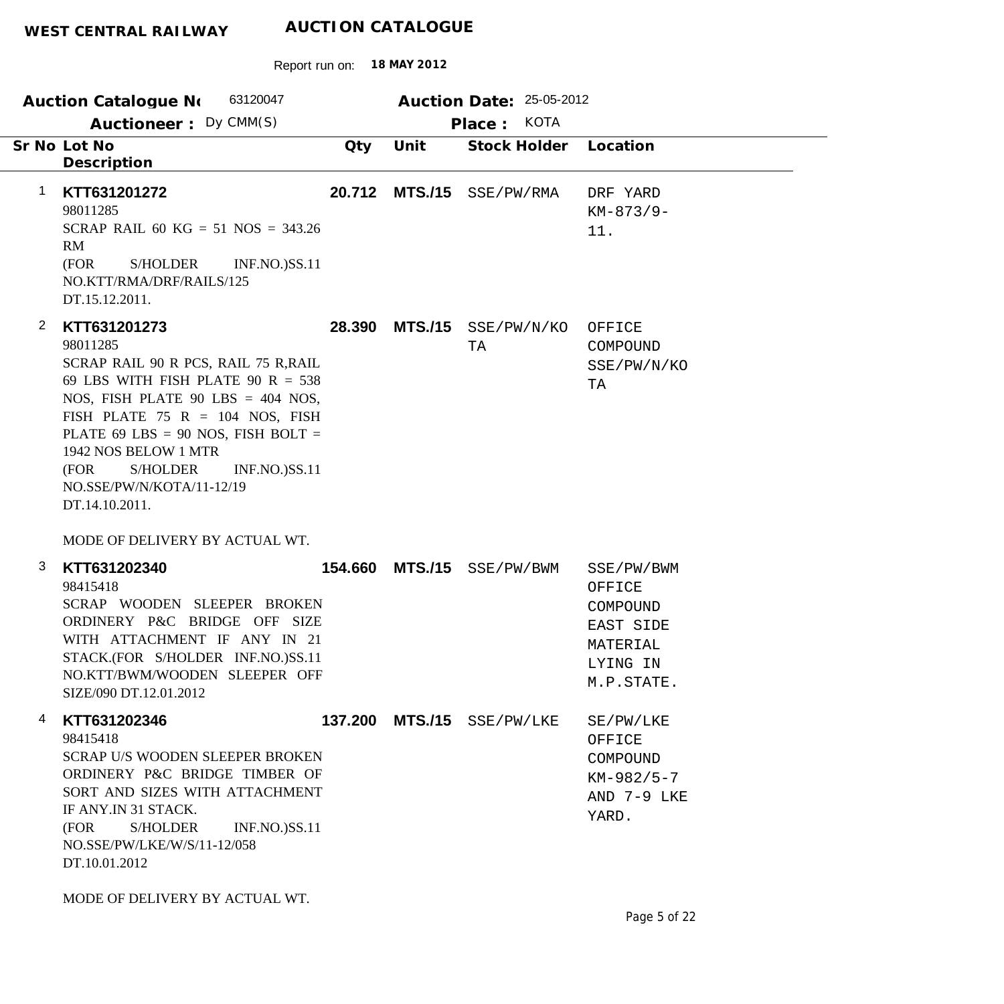|                | 63120047<br>Auction Catalogue No                                                                                                                                                                                                                                                                                                                  |         |                | Auction Date: 25-05-2012  |                                         |
|----------------|---------------------------------------------------------------------------------------------------------------------------------------------------------------------------------------------------------------------------------------------------------------------------------------------------------------------------------------------------|---------|----------------|---------------------------|-----------------------------------------|
|                | Auctioneer: Dy CMM(S)                                                                                                                                                                                                                                                                                                                             |         |                | KOTA<br>Place:            |                                         |
|                | Sr No Lot No<br>Description                                                                                                                                                                                                                                                                                                                       | Qty     | Unit           | Stock Holder              | Location                                |
| 1              | KTT631201272<br>98011285<br>SCRAP RAIL 60 KG = 51 NOS = 343.26<br>RM<br>(FOR<br><b>S/HOLDER</b><br><b>INF.NO.)SS.11</b><br>NO.KTT/RMA/DRF/RAILS/125<br>DT.15.12.2011.                                                                                                                                                                             | 20.712  | <b>MTS./15</b> | SSE/PW/RMA                | DRF YARD<br>$KM-873/9-$<br>11.          |
| $\overline{2}$ | KTT631201273<br>98011285<br>SCRAP RAIL 90 R PCS, RAIL 75 R, RAIL<br>69 LBS WITH FISH PLATE 90 R = $538$<br>NOS, FISH PLATE 90 LBS = $404$ NOS,<br>FISH PLATE 75 R = 104 NOS, FISH<br>PLATE 69 LBS = 90 NOS, FISH BOLT =<br>1942 NOS BELOW 1 MTR<br><b>S/HOLDER</b><br>(FOR<br><b>INF.NO.)SS.11</b><br>NO.SSE/PW/N/KOTA/11-12/19<br>DT.14.10.2011. | 28.390  |                | MTS./15 SSE/PW/N/KO<br>TA | OFFICE<br>COMPOUND<br>SSE/PW/N/KO<br>TA |
|                | MODE OF DELIVERY BY ACTUAL WT.                                                                                                                                                                                                                                                                                                                    |         |                |                           |                                         |
| 3              | KTT631202340<br>98415418                                                                                                                                                                                                                                                                                                                          | 154.660 | <b>MTS./15</b> | SSE/PW/BWM                | SSE/PW/BWM<br>OFFICE                    |

Report run on: **18 MAY 2012**

| SIZE/090 DT.12.01.2012                                                        | SCRAP WOODEN SLEEPER BROKEN<br>ORDINERY P&C BRIDGE OFF SIZE<br>WITH ATTACHMENT IF ANY IN 21<br>STACK.(FOR S/HOLDER INF.NO.)SS.11<br>NO.KTT/BWM/WOODEN SLEEPER OFF |                                 |                        | ヘエエ エアア<br>COMPOUND<br>EAST SIDE<br>MATERIAL<br>LYING IN<br>M.P.STATE.    |
|-------------------------------------------------------------------------------|-------------------------------------------------------------------------------------------------------------------------------------------------------------------|---------------------------------|------------------------|---------------------------------------------------------------------------|
| KTT631202346<br>4<br>98415418<br>IF ANY.IN 31 STACK.<br>(FOR<br>DT.10.01.2012 | <b>SCRAP U/S WOODEN SLEEPER BROKEN</b><br>ORDINERY P&C BRIDGE TIMBER OF<br>SORT AND SIZES WITH ATTACHMENT<br>S/HOLDER<br>NO.SSE/PW/LKE/W/S/11-12/058              | 137.200<br><b>INF.NO.)SS.11</b> | $MTS./15$ $SSE/PW/LKE$ | SE/PW/LKE<br>OFFICE<br>COMPOUND<br>$KM-982/5-7$<br>AND $7-9$ LKE<br>YARD. |

MODE OF DELIVERY BY ACTUAL WT.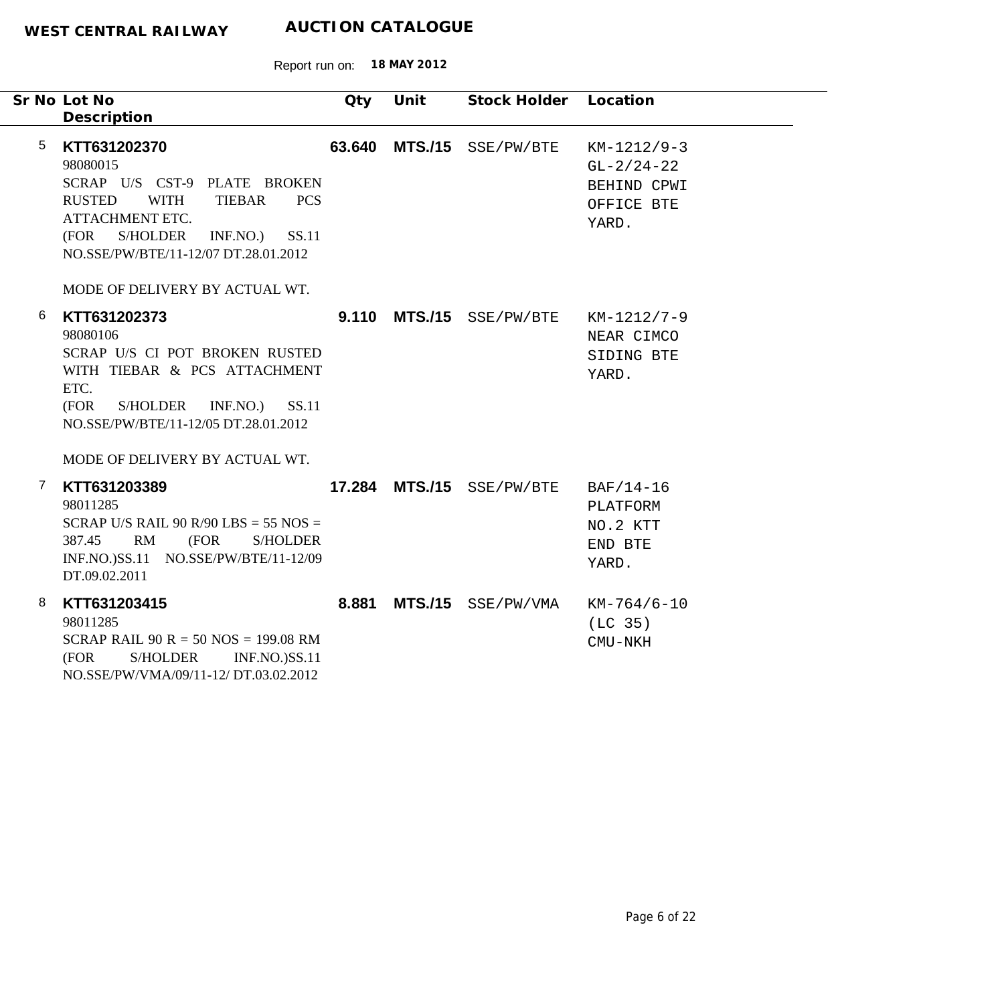|   | Sr No Lot No<br>Description                                                                                                                                                                                                                                   | Qty    | Unit           | Stock Holder       | Location                                                            |
|---|---------------------------------------------------------------------------------------------------------------------------------------------------------------------------------------------------------------------------------------------------------------|--------|----------------|--------------------|---------------------------------------------------------------------|
| 5 | KTT631202370<br>98080015<br>SCRAP U/S CST-9 PLATE BROKEN<br><b>RUSTED</b><br><b>WITH</b><br><b>TIEBAR</b><br><b>PCS</b><br>ATTACHMENT ETC.<br>(FOR<br>S/HOLDER<br>INF.NO.)<br>SS.11<br>NO.SSE/PW/BTE/11-12/07 DT.28.01.2012<br>MODE OF DELIVERY BY ACTUAL WT. | 63.640 |                | MTS./15 SSE/PW/BTE | $KM-1212/9-3$<br>$GL-2/24-22$<br>BEHIND CPWI<br>OFFICE BTE<br>YARD. |
| 6 | KTT631202373<br>98080106<br>SCRAP U/S CI POT BROKEN RUSTED<br>WITH TIEBAR & PCS ATTACHMENT<br>ETC.<br>S/HOLDER<br>INF.NO.)<br>SS.11<br>(FOR<br>NO.SSE/PW/BTE/11-12/05 DT.28.01.2012<br>MODE OF DELIVERY BY ACTUAL WT.                                         | 9.110  | <b>MTS./15</b> | SSE/PW/BTE         | KM-1212/7-9<br>NEAR CIMCO<br>SIDING BTE<br>YARD.                    |
| 7 | KTT631203389<br>98011285<br>SCRAP U/S RAIL 90 R/90 LBS = 55 NOS =<br>RM<br>387.45<br>(FOR<br><b>S/HOLDER</b><br>INF.NO.)SS.11 NO.SSE/PW/BTE/11-12/09<br>DT.09.02.2011                                                                                         |        | 17.284 MTS./15 | SSE/PW/BTE         | BAF/14-16<br>PLATFORM<br>NO.2 KTT<br>END BTE<br>YARD.               |
| 8 | KTT631203415<br>98011285<br>SCRAP RAIL $90 R = 50 NOS = 199.08 RM$<br>(FOR<br><b>S/HOLDER</b><br><b>INF.NO.)SS.11</b><br>NO.SSE/PW/VMA/09/11-12/ DT.03.02.2012                                                                                                | 8.881  |                | MTS./15 SSE/PW/VMA | $KM-764/6-10$<br>(LC <sub>35</sub> )<br>CMU-NKH                     |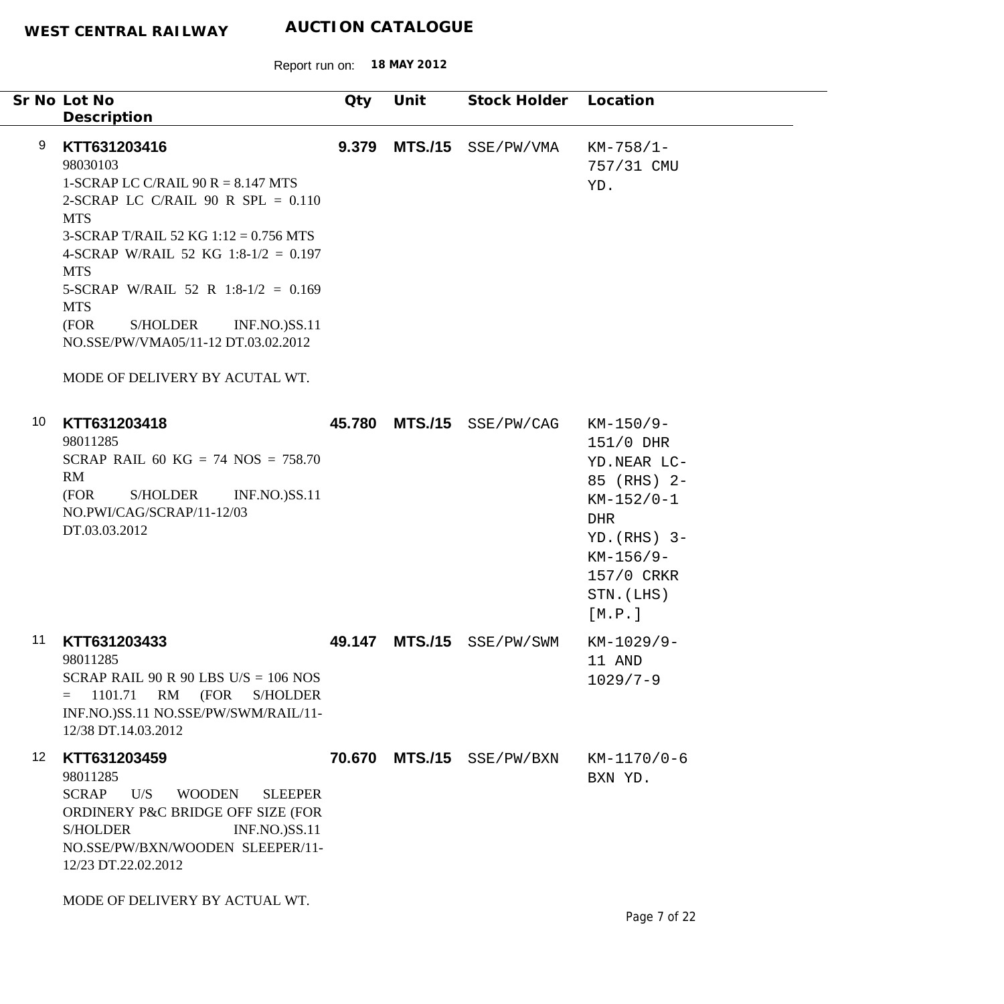|                 | Sr No Lot No<br>Description                                                                                                                                                                                                                                                                                                                                                                       | Qty    | Unit           | Stock Holder              | Location                                                                                                                                             |
|-----------------|---------------------------------------------------------------------------------------------------------------------------------------------------------------------------------------------------------------------------------------------------------------------------------------------------------------------------------------------------------------------------------------------------|--------|----------------|---------------------------|------------------------------------------------------------------------------------------------------------------------------------------------------|
| 9               | KTT631203416<br>98030103<br>1-SCRAP LC C/RAIL 90 R = $8.147$ MTS<br>2-SCRAP LC C/RAIL 90 R SPL = $0.110$<br><b>MTS</b><br>3-SCRAP T/RAIL 52 KG $1:12 = 0.756$ MTS<br>4-SCRAP W/RAIL 52 KG 1:8-1/2 = 0.197<br><b>MTS</b><br>5-SCRAP W/RAIL 52 R 1:8-1/2 = 0.169<br><b>MTS</b><br>S/HOLDER<br>(FOR<br><b>INF.NO.)SS.11</b><br>NO.SSE/PW/VMA05/11-12 DT.03.02.2012<br>MODE OF DELIVERY BY ACUTAL WT. | 9.379  | <b>MTS./15</b> | SSE/PW/VMA                | $KM-758/1-$<br>757/31 CMU<br>YD.                                                                                                                     |
| 10              | KTT631203418<br>98011285<br>SCRAP RAIL 60 KG = 74 NOS = 758.70<br>RM<br>(FOR<br>S/HOLDER<br><b>INF.NO.)SS.11</b><br>NO.PWI/CAG/SCRAP/11-12/03<br>DT.03.03.2012                                                                                                                                                                                                                                    |        | 45.780 MTS./15 | SSE/PW/CAG                | $KM-150/9-$<br>151/0 DHR<br>YD.NEAR LC-<br>85 (RHS) 2-<br>$KM-152/0-1$<br>DHR<br>$YD. (RHS)$ 3-<br>$KM-156/9-$<br>157/0 CRKR<br>STN. (LHS)<br>[M.P.] |
| 11              | KTT631203433<br>98011285<br>SCRAP RAIL 90 R 90 LBS U/S = $106$ NOS<br>1101.71<br>RM<br>(FOR<br><b>S/HOLDER</b><br>$=$<br>INF.NO.)SS.11 NO.SSE/PW/SWM/RAIL/11-<br>12/38 DT.14.03.2012                                                                                                                                                                                                              | 49.147 | <b>MTS./15</b> | SSE/PW/SWM                | KM-1029/9-<br>11 AND<br>$1029/7 - 9$                                                                                                                 |
| 12 <sup>°</sup> | KTT631203459<br>98011285<br><b>SCRAP</b><br>U/S<br><b>WOODEN</b><br><b>SLEEPER</b><br>ORDINERY P&C BRIDGE OFF SIZE (FOR<br><b>S/HOLDER</b><br><b>INF.NO.)SS.11</b><br>NO.SSE/PW/BXN/WOODEN SLEEPER/11-<br>12/23 DT.22.02.2012<br>MODE OF DELIVERY BY ACTUAL WT.                                                                                                                                   |        |                | 70.670 MTS./15 SSE/PW/BXN | $KM-1170/0-6$<br>BXN YD.                                                                                                                             |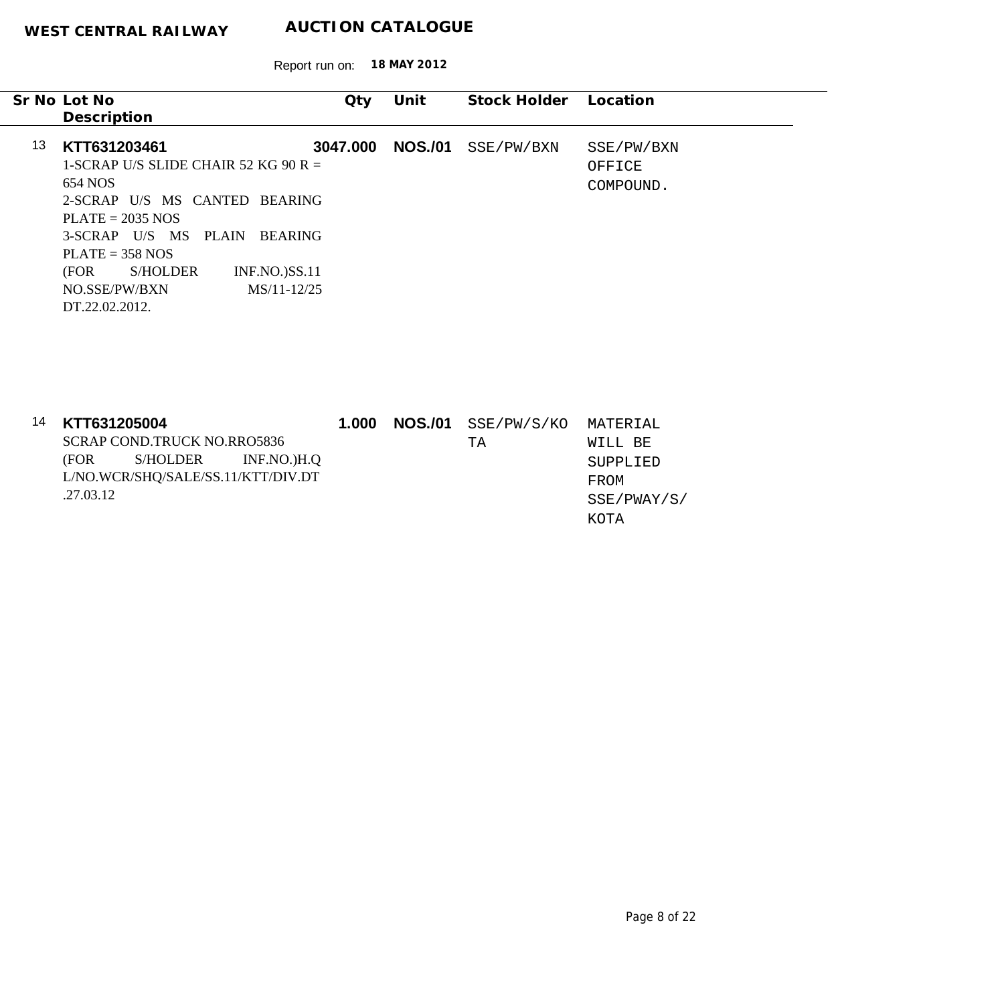|    | Sr No Lot No<br>Description                                                                                                                                                                                                                                                                     | Qty      | Unit           | Stock Holder | Location                          |
|----|-------------------------------------------------------------------------------------------------------------------------------------------------------------------------------------------------------------------------------------------------------------------------------------------------|----------|----------------|--------------|-----------------------------------|
| 13 | KTT631203461<br>1-SCRAP U/S SLIDE CHAIR 52 KG 90 R $=$<br>654 NOS<br>2-SCRAP U/S MS CANTED BEARING<br>$PLATE = 2035 NOS$<br>3-SCRAP U/S MS<br><b>PLAIN</b><br><b>BEARING</b><br>$PLATE = 358 NOS$<br>(FOR<br>S/HOLDER<br><b>INF.NO.)SS.11</b><br>NO.SSE/PW/BXN<br>MS/11-12/25<br>DT.22.02.2012. | 3047.000 | <b>NOS./01</b> | SSE/PW/BXN   | SSE/PW/BXN<br>OFFICE<br>COMPOUND. |

| 14 | KTT631205004 |                                    |                      | 1.000 | <b>NOS./01</b> SSE/PW/S/KO MATERIAL |             |
|----|--------------|------------------------------------|----------------------|-------|-------------------------------------|-------------|
|    |              | SCRAP COND TRUCK NO RRO5836        |                      |       | TA                                  | WILL BE     |
|    | (FOR         |                                    | S/HOLDER INF.NO.)H.Q |       |                                     | SUPPLIED    |
|    |              | L/NO.WCR/SHQ/SALE/SS.11/KTT/DIV.DT |                      |       |                                     | FROM        |
|    | .27.03.12    |                                    |                      |       |                                     | SSE/PWAY/S/ |
|    |              |                                    |                      |       |                                     | KOTA        |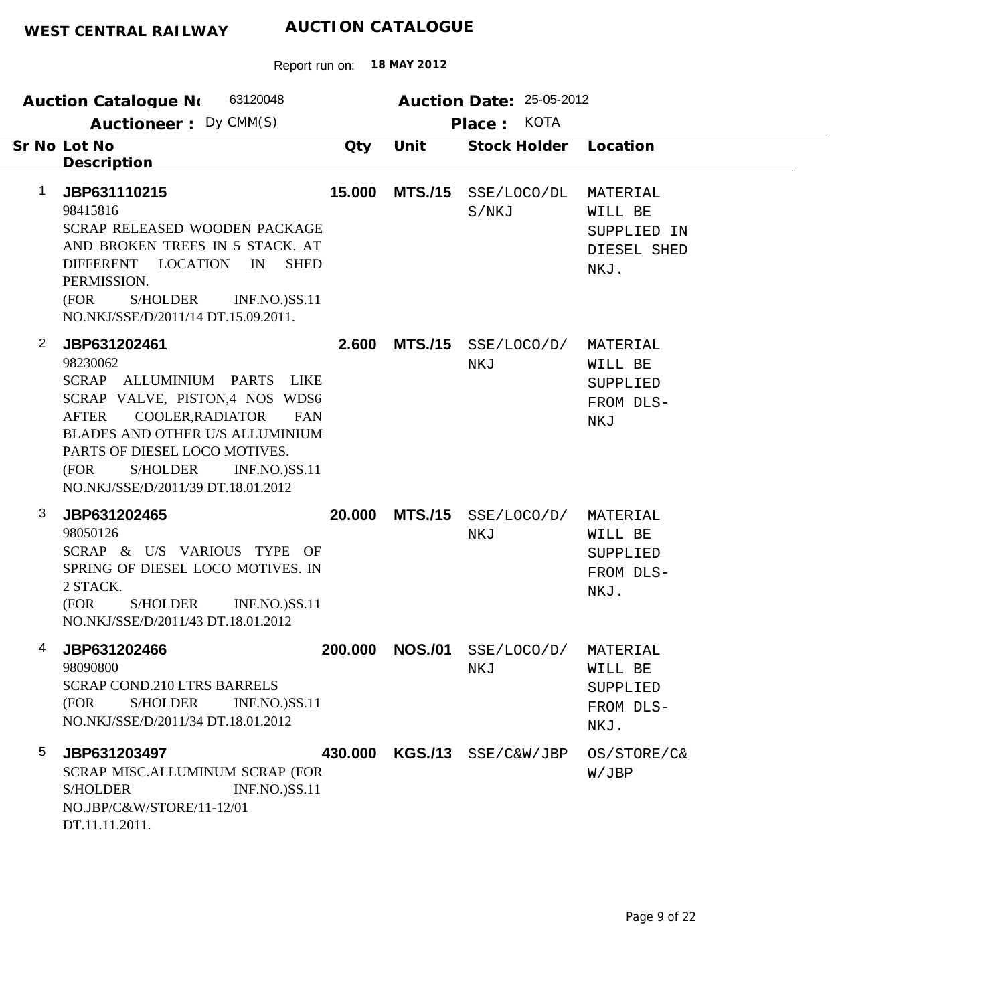| 63120048<br>Auction Catalogue No                                                                                                                                                                                                                                                                                                    |                | Auction Date: 25-05-2012          |                                                           |  |  |
|-------------------------------------------------------------------------------------------------------------------------------------------------------------------------------------------------------------------------------------------------------------------------------------------------------------------------------------|----------------|-----------------------------------|-----------------------------------------------------------|--|--|
| Auctioneer: Dy CMM(S)                                                                                                                                                                                                                                                                                                               |                | <b>KOTA</b><br>Place:             |                                                           |  |  |
| Sr No Lot No<br>Qty<br>Description                                                                                                                                                                                                                                                                                                  | Unit           | <b>Stock Holder</b>               | Location                                                  |  |  |
| 1<br>15.000<br>JBP631110215<br>98415816<br>SCRAP RELEASED WOODEN PACKAGE<br>AND BROKEN TREES IN 5 STACK. AT<br>DIFFERENT LOCATION<br><b>SHED</b><br>IN<br>PERMISSION.<br>(FOR<br><b>S/HOLDER</b><br><b>INF.NO.)SS.11</b><br>NO.NKJ/SSE/D/2011/14 DT.15.09.2011.                                                                     | <b>MTS./15</b> | SSE/LOCO/DL<br>S/NKJ              | MATERIAL<br>WILL BE<br>SUPPLIED IN<br>DIESEL SHED<br>NKJ. |  |  |
| $\overline{2}$<br>JBP631202461<br>2.600<br>98230062<br>SCRAP ALLUMINIUM PARTS LIKE<br>SCRAP VALVE, PISTON,4 NOS WDS6<br>COOLER, RADIATOR<br><b>AFTER</b><br><b>FAN</b><br>BLADES AND OTHER U/S ALLUMINIUM<br>PARTS OF DIESEL LOCO MOTIVES.<br>(FOR<br><b>S/HOLDER</b><br><b>INF.NO.)SS.11</b><br>NO.NKJ/SSE/D/2011/39 DT.18.01.2012 | <b>MTS./15</b> | SSE/LOCO/D/<br>NKJ                | MATERIAL<br>WILL BE<br>SUPPLIED<br>FROM DLS-<br>NKJ       |  |  |
| 3<br>20.000<br>JBP631202465<br>98050126<br>SCRAP & U/S VARIOUS TYPE OF<br>SPRING OF DIESEL LOCO MOTIVES. IN<br>2 STACK.<br>(FOR<br><b>S/HOLDER</b><br><b>INF.NO.)SS.11</b><br>NO.NKJ/SSE/D/2011/43 DT.18.01.2012                                                                                                                    | <b>MTS./15</b> | SSE/LOCO/D/<br>NKJ                | MATERIAL<br>WILL BE<br>SUPPLIED<br>FROM DLS-<br>NKJ.      |  |  |
| 4<br>JBP631202466<br>200.000<br>98090800<br><b>SCRAP COND.210 LTRS BARRELS</b><br>(FOR<br>S/HOLDER<br><b>INF.NO.)SS.11</b><br>NO.NKJ/SSE/D/2011/34 DT.18.01.2012                                                                                                                                                                    |                | <b>NOS./01</b> SSE/LOCO/D/<br>NKJ | MATERIAL<br>WILL BE<br>SUPPLIED<br>FROM DLS-<br>NKJ.      |  |  |
| 5<br>JBP631203497<br>SCRAP MISC.ALLUMINUM SCRAP (FOR<br><b>S/HOLDER</b><br><b>INF.NO.)SS.11</b><br>NO.JBP/C&W/STORE/11-12/01<br>DT.11.11.2011.                                                                                                                                                                                      |                | 430.000 KGS./13 SSE/C&W/JBP       | OS/STORE/C&<br>W/JBP                                      |  |  |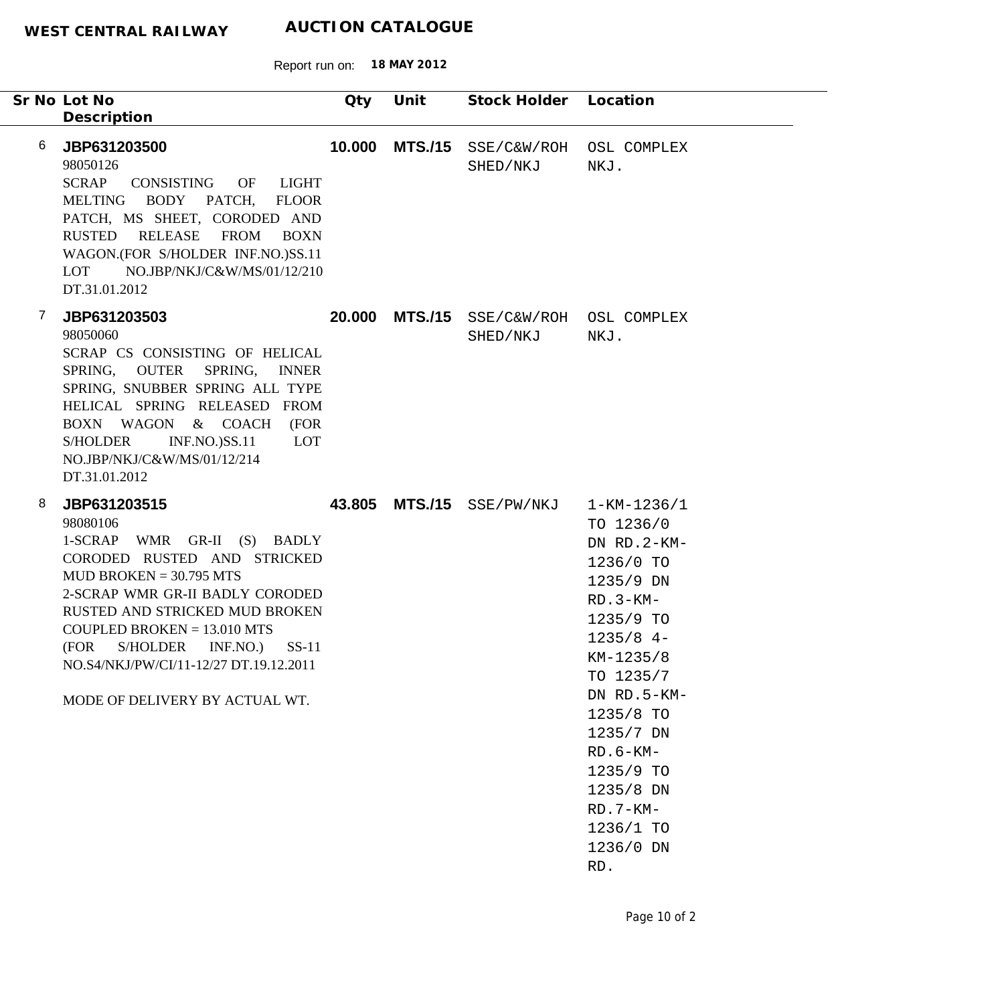|   | Sr No Lot No<br>Description                                                                                                                                                                                                                                                                                                                             | Qty    | Unit           | Stock Holder Location               |                                                                                                                                                                                                                                                                               |
|---|---------------------------------------------------------------------------------------------------------------------------------------------------------------------------------------------------------------------------------------------------------------------------------------------------------------------------------------------------------|--------|----------------|-------------------------------------|-------------------------------------------------------------------------------------------------------------------------------------------------------------------------------------------------------------------------------------------------------------------------------|
| 6 | JBP631203500<br>98050126<br><b>SCRAP</b><br>CONSISTING OF<br>LIGHT<br>BODY PATCH,<br>MELTING<br><b>FLOOR</b><br>PATCH, MS SHEET, CORODED AND<br>RUSTED RELEASE FROM<br>BOXN<br>WAGON.(FOR S/HOLDER INF.NO.)SS.11<br>NO.JBP/NKJ/C&W/MS/01/12/210<br>LOT<br>DT.31.01.2012                                                                                 | 10.000 | <b>MTS./15</b> | SSE/C&W/ROH<br>SHED/NKJ             | OSL COMPLEX<br>NKJ.                                                                                                                                                                                                                                                           |
| 7 | JBP631203503<br>98050060<br>SCRAP CS CONSISTING OF HELICAL<br>SPRING, OUTER SPRING, INNER<br>SPRING, SNUBBER SPRING ALL TYPE<br>HELICAL SPRING RELEASED FROM<br>BOXN WAGON & COACH<br>(FOR<br><b>INF.NO.)SS.11</b><br><b>S/HOLDER</b><br><b>LOT</b><br>NO.JBP/NKJ/C&W/MS/01/12/214<br>DT.31.01.2012                                                     | 20.000 | <b>MTS./15</b> | SSE/C&W/ROH OSL COMPLEX<br>SHED/NKJ | NKJ.                                                                                                                                                                                                                                                                          |
| 8 | JBP631203515<br>98080106<br>1-SCRAP WMR GR-II (S) BADLY<br>CORODED RUSTED AND STRICKED<br>MUD BROKEN = $30.795$ MTS<br>2-SCRAP WMR GR-II BADLY CORODED<br><b>RUSTED AND STRICKED MUD BROKEN</b><br>$COUPEED BROKEN = 13.010 MTS$<br>(FOR<br>S/HOLDER<br>INF.NO.)<br>$SS-11$<br>NO.S4/NKJ/PW/CI/11-12/27 DT.19.12.2011<br>MODE OF DELIVERY BY ACTUAL WT. |        |                | 43.805 MTS./15 SSE/PW/NKJ           | $1 - KM - 1236/1$<br>TO 1236/0<br>DN RD.2-KM-<br>1236/0 TO<br>1235/9 DN<br>$RD.3-KM-$<br>1235/9 TO<br>$1235/8$ 4-<br>$KM-1235/8$<br>TO 1235/7<br>DN RD.5-KM-<br>1235/8 TO<br>1235/7 DN<br>$RD.6-KM-$<br>1235/9 TO<br>1235/8 DN<br>$RD.7-KM-$<br>1236/1 TO<br>1236/0 DN<br>RD. |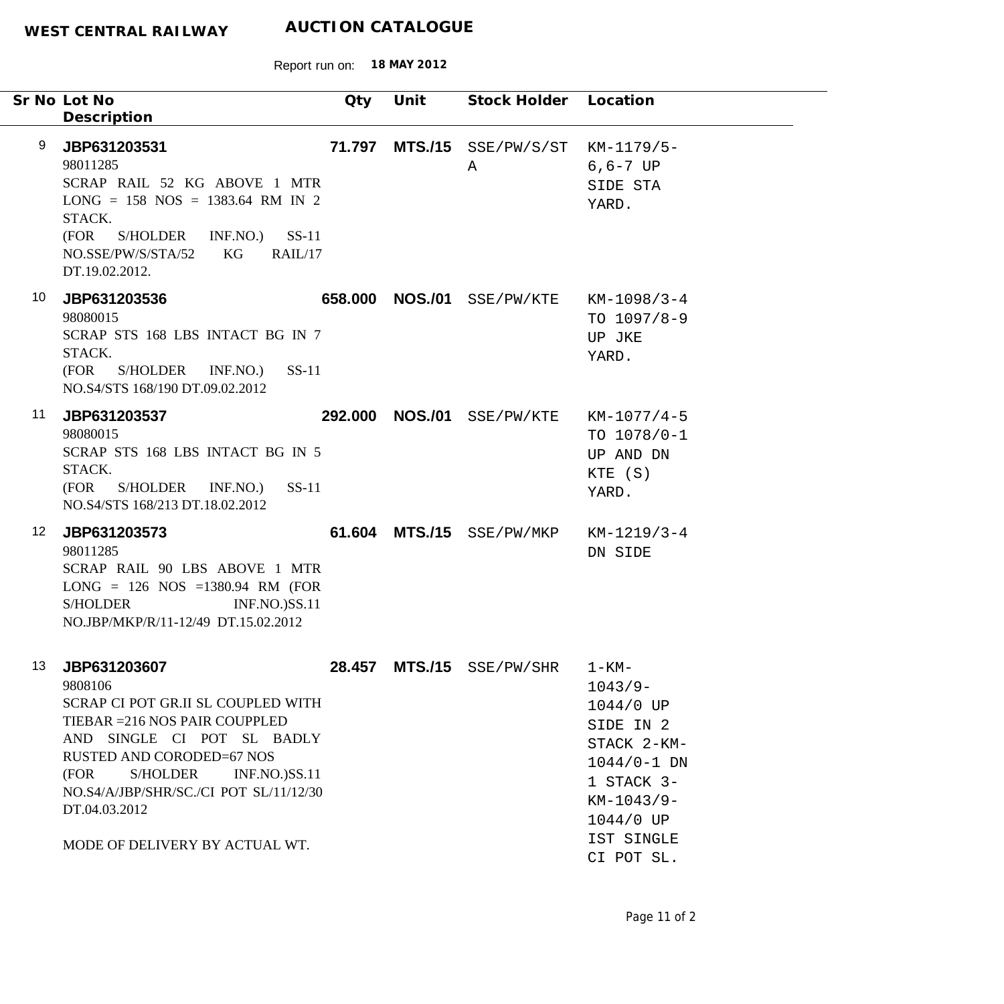|                  | Sr No Lot No<br>Description                                                                                                                                                                                                                                                                                | Qty    | Unit            | Stock Holder Location        |                                                                                                                                                            |
|------------------|------------------------------------------------------------------------------------------------------------------------------------------------------------------------------------------------------------------------------------------------------------------------------------------------------------|--------|-----------------|------------------------------|------------------------------------------------------------------------------------------------------------------------------------------------------------|
| 9                | JBP631203531<br>98011285<br>SCRAP RAIL 52 KG ABOVE 1 MTR<br>$LONG = 158 NOS = 1383.64 RM IN 2$<br>STACK.<br>(FOR S/HOLDER INF.NO.) SS-11<br>NO.SSE/PW/S/STA/52<br>KG<br>RAIL/17<br>DT.19.02.2012.                                                                                                          | 71.797 |                 | $MTS./15$ $SSE/PW/S/ST$<br>A | $KM-1179/5-$<br>$6, 6 - 7$ UP<br>SIDE STA<br>YARD.                                                                                                         |
| 10               | JBP631203536<br>98080015<br>SCRAP STS 168 LBS INTACT BG IN 7<br>STACK.<br>(FOR S/HOLDER INF.NO.) SS-11<br>NO.S4/STS 168/190 DT.09.02.2012                                                                                                                                                                  |        | 658.000 NOS./01 | SSE/PW/KTE                   | $KM-1098/3-4$<br>TO $1097/8-9$<br>UP JKE<br>YARD.                                                                                                          |
| 11               | JBP631203537<br>98080015<br>SCRAP STS 168 LBS INTACT BG IN 5<br>STACK.<br>(FOR<br>S/HOLDER INF.NO.)<br>$SS-11$<br>NO.S4/STS 168/213 DT.18.02.2012                                                                                                                                                          |        | 292.000 NOS./01 | SSE/PW/KTE                   | $KM-1077/4-5$<br>TO $1078/0-1$<br>UP AND DN<br>KTE (S)<br>YARD.                                                                                            |
| 12 <sup>12</sup> | JBP631203573<br>98011285<br>SCRAP RAIL 90 LBS ABOVE 1 MTR<br>$LONG = 126 NOS = 1380.94 RM (FOR)$<br><b>S/HOLDER</b><br><b>INF.NO.)SS.11</b><br>NO.JBP/MKP/R/11-12/49 DT.15.02.2012                                                                                                                         |        |                 | 61.604 MTS./15 SSE/PW/MKP    | $KM-1219/3-4$<br>DN SIDE                                                                                                                                   |
| 13               | JBP631203607<br>9808106<br>SCRAP CI POT GR.II SL COUPLED WITH<br>TIEBAR = 216 NOS PAIR COUPPLED<br>AND SINGLE CI POT SL BADLY<br><b>RUSTED AND CORODED=67 NOS</b><br>(FOR<br>S/HOLDER<br><b>INF.NO.)SS.11</b><br>NO.S4/A/JBP/SHR/SC./CI POT SL/11/12/30<br>DT.04.03.2012<br>MODE OF DELIVERY BY ACTUAL WT. |        |                 | 28.457 MTS./15 SSE/PW/SHR    | $1 - KM -$<br>$1043/9-$<br>1044/0 UP<br>SIDE IN 2<br>STACK 2-KM-<br>$1044/0 - 1$ DN<br>1 STACK 3-<br>$KM-1043/9-$<br>1044/0 UP<br>IST SINGLE<br>CI POT SL. |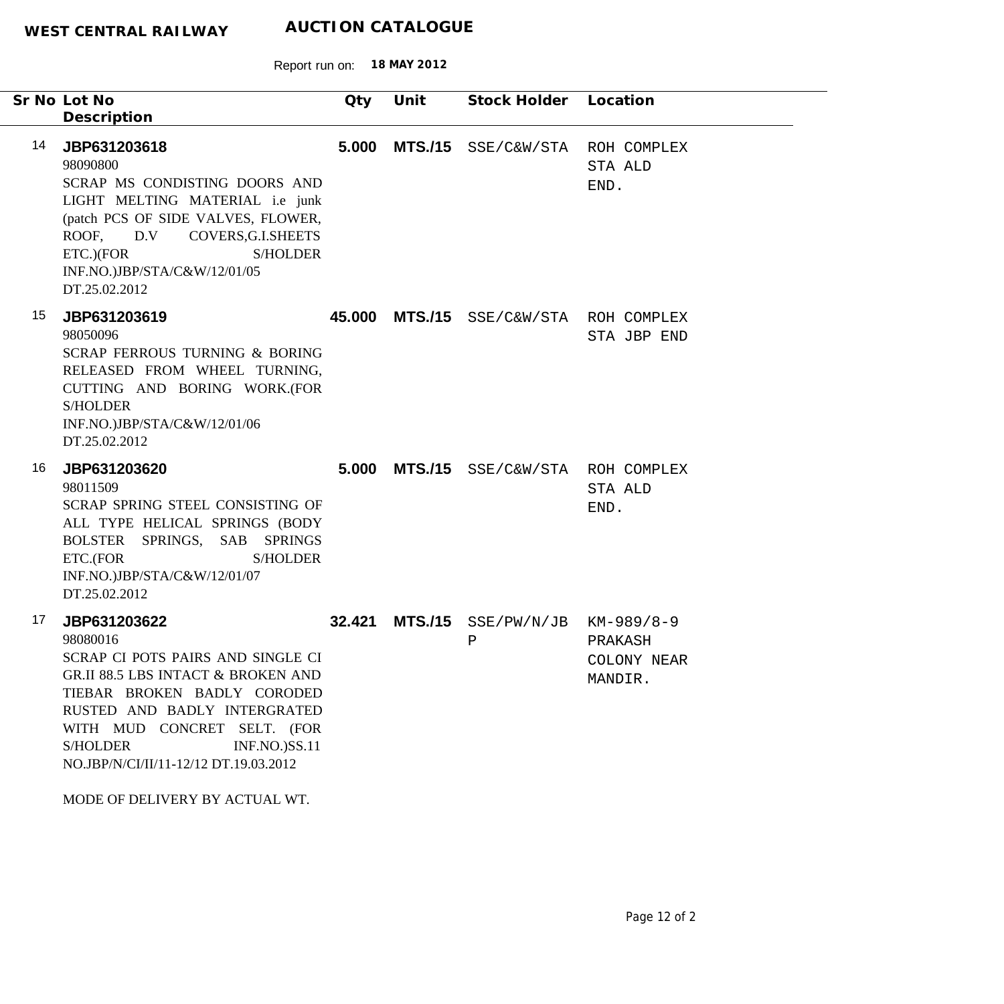|    | Sr No Lot No                                                                                                                                                                                                                                                                                                                       | Qty    | Unit           | Stock Holder Location                  |                                   |
|----|------------------------------------------------------------------------------------------------------------------------------------------------------------------------------------------------------------------------------------------------------------------------------------------------------------------------------------|--------|----------------|----------------------------------------|-----------------------------------|
|    | Description                                                                                                                                                                                                                                                                                                                        |        |                |                                        |                                   |
| 14 | JBP631203618<br>98090800<br>SCRAP MS CONDISTING DOORS AND<br>LIGHT MELTING MATERIAL i.e junk<br>(patch PCS OF SIDE VALVES, FLOWER,<br>ROOF, D.V COVERS, G.I.SHEETS<br>ETC.)(FOR<br><b>S/HOLDER</b><br>INF.NO.)JBP/STA/C&W/12/01/05<br>DT.25.02.2012                                                                                | 5.000  | <b>MTS./15</b> | SSE/C&W/STA ROH COMPLEX                | STA ALD<br>END.                   |
| 15 | JBP631203619<br>98050096<br>SCRAP FERROUS TURNING & BORING<br>RELEASED FROM WHEEL TURNING,<br>CUTTING AND BORING WORK.(FOR<br><b>S/HOLDER</b><br>INF.NO.)JBP/STA/C&W/12/01/06<br>DT.25.02.2012                                                                                                                                     |        |                | 45.000 MTS./15 SSE/C&W/STA ROH COMPLEX | STA JBP END                       |
| 16 | JBP631203620<br>98011509<br>SCRAP SPRING STEEL CONSISTING OF<br>ALL TYPE HELICAL SPRINGS (BODY<br>BOLSTER SPRINGS, SAB SPRINGS<br>ETC.(FOR<br><b>S/HOLDER</b><br>INF.NO.)JBP/STA/C&W/12/01/07<br>DT.25.02.2012                                                                                                                     | 5.000  |                | MTS./15 SSE/C&W/STA ROH COMPLEX        | STA ALD<br>END.                   |
| 17 | JBP631203622<br>98080016<br>SCRAP CI POTS PAIRS AND SINGLE CI<br><b>GR.II 88.5 LBS INTACT &amp; BROKEN AND</b><br>TIEBAR BROKEN BADLY CORODED<br>RUSTED AND BADLY INTERGRATED<br>WITH MUD CONCRET SELT. (FOR<br><b>S/HOLDER</b><br><b>INF.NO.)SS.11</b><br>NO.JBP/N/CI/II/11-12/12 DT.19.03.2012<br>MODE OF DELIVERY BY ACTUAL WT. | 32.421 | <b>MTS./15</b> | $SSE/PW/N/JB$ $KM-989/8-9$<br>Ρ        | PRAKASH<br>COLONY NEAR<br>MANDIR. |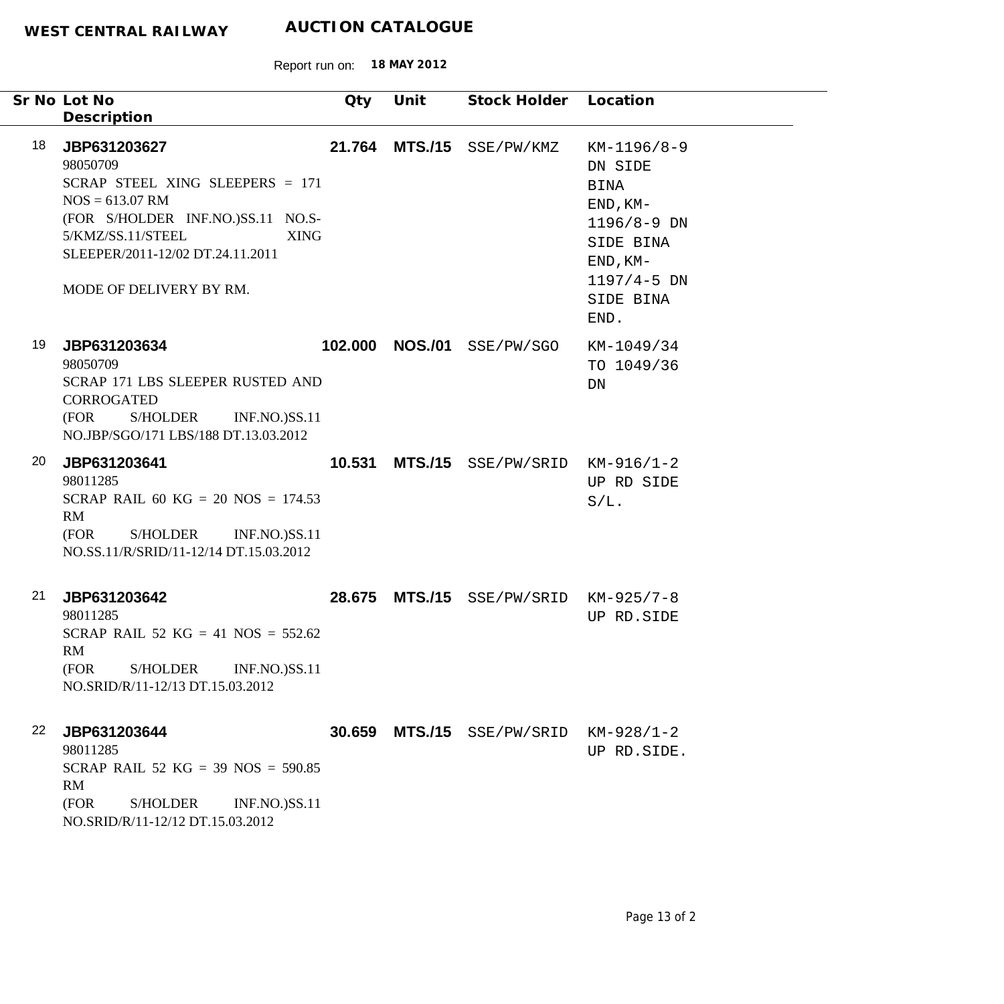| Sr No Lot No<br>Description                                                                                                                                                                                     | Qty                            | Unit | Stock Holder Location              |                                                                                                                                  |
|-----------------------------------------------------------------------------------------------------------------------------------------------------------------------------------------------------------------|--------------------------------|------|------------------------------------|----------------------------------------------------------------------------------------------------------------------------------|
| 18<br>JBP631203627<br>98050709<br>SCRAP STEEL XING SLEEPERS = 171<br>$NOS = 613.07$ RM<br>(FOR S/HOLDER INF.NO.)SS.11 NO.S-<br>5/KMZ/SS.11/STEEL<br>SLEEPER/2011-12/02 DT.24.11.2011<br>MODE OF DELIVERY BY RM. | <b>XING</b>                    |      | 21.764 MTS./15 SSE/PW/KMZ          | $KM-1196/8-9$<br>DN SIDE<br>BINA<br>$END, KM-$<br>1196/8-9 DN<br>SIDE BINA<br>$END, KM-$<br>$1197/4 - 5$ DN<br>SIDE BINA<br>END. |
| 19<br>JBP631203634<br>98050709<br>SCRAP 171 LBS SLEEPER RUSTED AND<br><b>CORROGATED</b><br>(FOR<br>S/HOLDER INF.NO.)SS.11<br>NO.JBP/SGO/171 LBS/188 DT.13.03.2012                                               |                                |      | 102.000 NOS./01 SSE/PW/SGO         | KM-1049/34<br>TO 1049/36<br>DN                                                                                                   |
| 20<br>JBP631203641<br>98011285<br>SCRAP RAIL 60 KG = 20 NOS = $174.53$<br>RM<br>S/HOLDER<br>(FOR<br>NO.SS.11/R/SRID/11-12/14 DT.15.03.2012                                                                      | 10.531<br><b>INF.NO.)SS.11</b> |      | $MTS. / 15$ SSE/PW/SRID KM-916/1-2 | UP RD SIDE<br>$S/L$ .                                                                                                            |
| 21<br>JBP631203642<br>98011285<br>SCRAP RAIL 52 KG = 41 NOS = $552.62$<br>RM<br>(FOR<br>S/HOLDER<br>NO.SRID/R/11-12/13 DT.15.03.2012                                                                            | 28.675<br><b>INF.NO.)SS.11</b> |      | MTS./15 SSE/PW/SRID KM-925/7-8     | UP RD. SIDE                                                                                                                      |
| 22<br>JBP631203644<br>98011285<br>SCRAP RAIL 52 KG = 39 NOS = $590.85$<br>RM<br>(FOR<br><b>S/HOLDER</b><br>NO.SRID/R/11-12/12 DT.15.03.2012                                                                     | 30.659<br><b>INF.NO.)SS.11</b> |      | MTS./15 SSE/PW/SRID                | $KM-928/1-2$<br>UP RD. SIDE.                                                                                                     |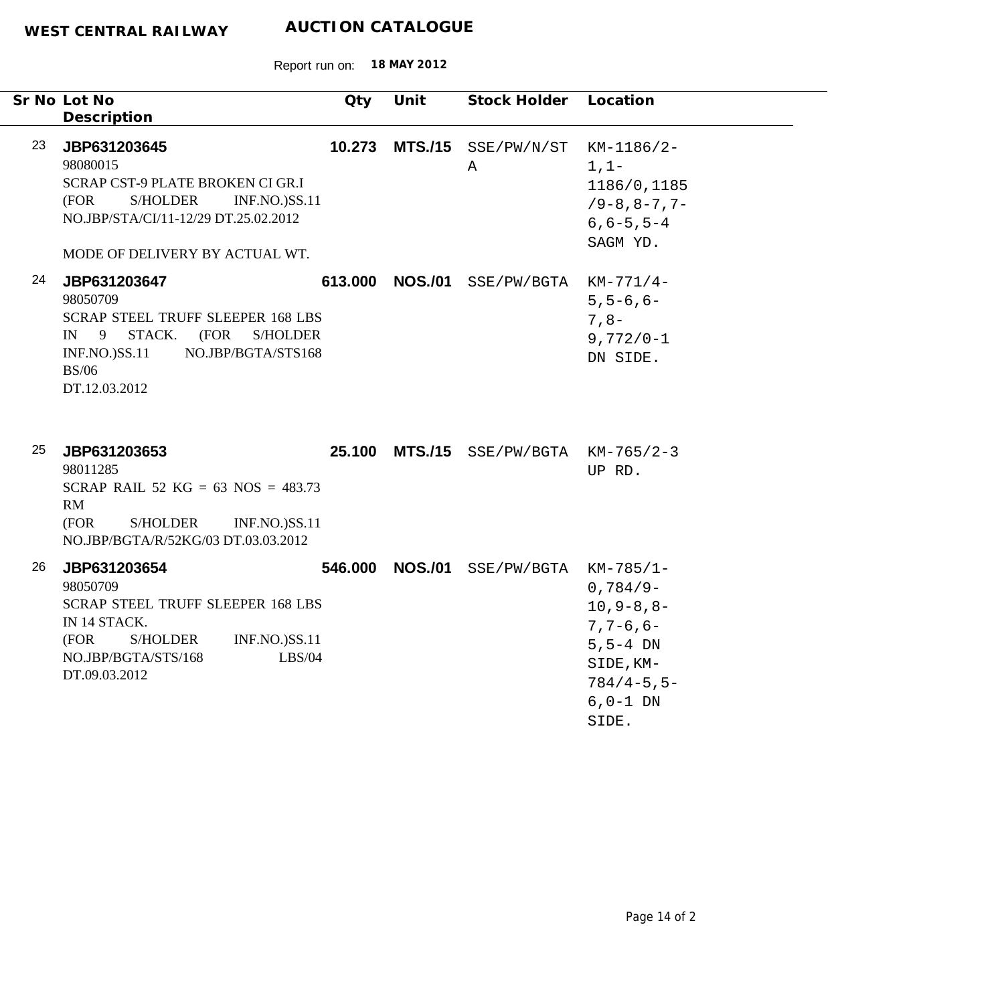|    | Sr No Lot No<br>Description                                                                                                                                                                      | Qty     | Unit           | Stock Holder Location            |                                                                                                                                            |
|----|--------------------------------------------------------------------------------------------------------------------------------------------------------------------------------------------------|---------|----------------|----------------------------------|--------------------------------------------------------------------------------------------------------------------------------------------|
| 23 | JBP631203645<br>98080015<br>SCRAP CST-9 PLATE BROKEN CI GR.I<br><b>INF.NO.)SS.11</b><br>(FOR<br>S/HOLDER<br>NO.JBP/STA/CI/11-12/29 DT.25.02.2012<br>MODE OF DELIVERY BY ACTUAL WT.               | 10.273  | <b>MTS./15</b> | SSE/PW/N/ST<br>Α                 | KM-1186/2-<br>$1, 1-$<br>1186/0,1185<br>$/9 - 8, 8 - 7, 7 -$<br>$6, 6 - 5, 5 - 4$<br>SAGM YD.                                              |
| 24 | JBP631203647<br>98050709<br><b>SCRAP STEEL TRUFF SLEEPER 168 LBS</b><br>IN 9<br>STACK.<br>(FOR<br><b>S/HOLDER</b><br><b>INF.NO.)SS.11</b><br>NO.JBP/BGTA/STS168<br><b>BS/06</b><br>DT.12.03.2012 | 613.000 | <b>NOS./01</b> | SSE/PW/BGTA                      | $KM-771/4-$<br>$5, 5 - 6, 6 -$<br>$7, 8-$<br>$9,772/0-1$<br>DN SIDE.                                                                       |
| 25 | JBP631203653<br>98011285<br>SCRAP RAIL 52 KG = 63 NOS = $483.73$<br>RM<br>(FOR<br>S/HOLDER<br><b>INF.NO.)SS.11</b><br>NO.JBP/BGTA/R/52KG/03 DT.03.03.2012                                        | 25.100  |                | $MTS./15$ SSE/PW/BGTA KM-765/2-3 | UP RD.                                                                                                                                     |
| 26 | JBP631203654<br>98050709<br><b>SCRAP STEEL TRUFF SLEEPER 168 LBS</b><br>IN 14 STACK.<br>(FOR<br><b>S/HOLDER</b><br><b>INF.NO.)SS.11</b><br>LBS/04<br>NO.JBP/BGTA/STS/168<br>DT.09.03.2012        | 546.000 | <b>NOS./01</b> | SSE/PW/BGTA                      | $KM-785/1-$<br>$0,784/9-$<br>$10, 9 - 8, 8 -$<br>$7, 7 - 6, 6 -$<br>$5, 5 - 4$ DN<br>SIDE, KM-<br>$784/4 - 5, 5 -$<br>$6, 0-1$ DN<br>SIDE. |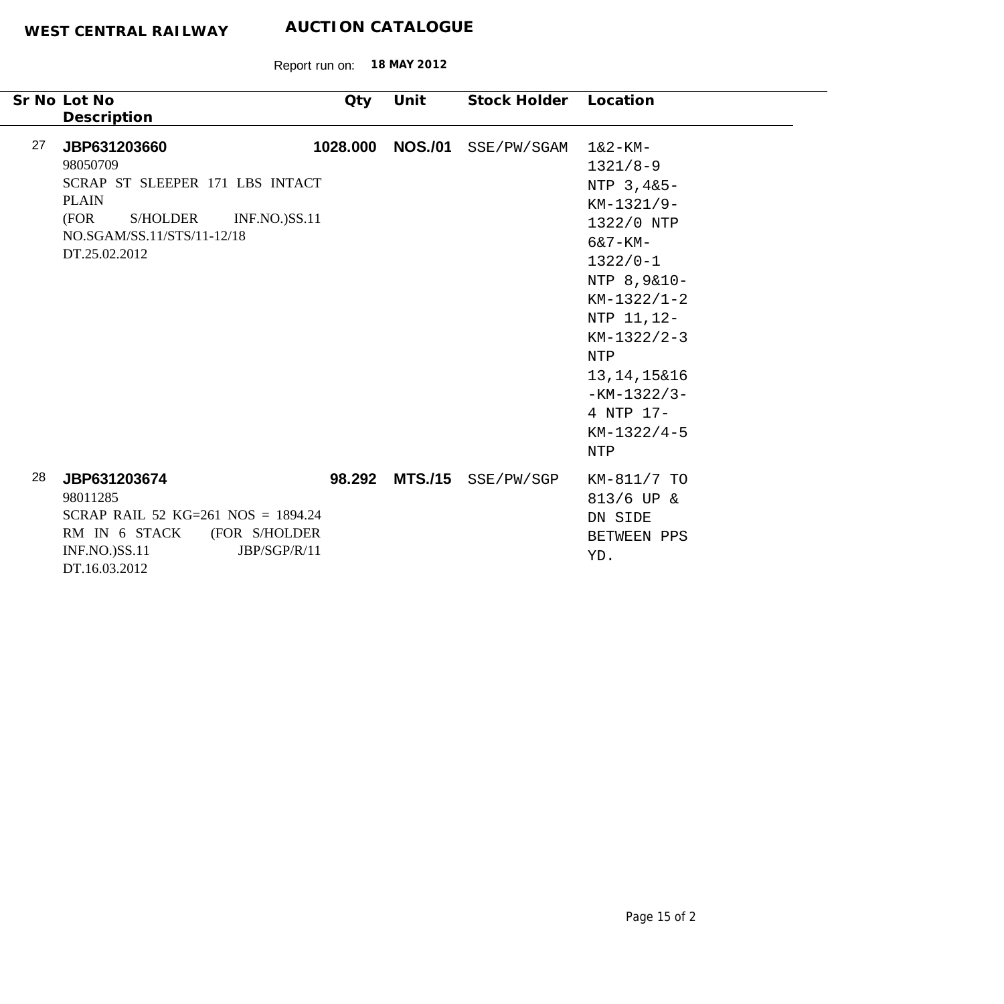| Sr No Lot No<br>Description                                                                                                                                                         | Qty      | Unit           | Stock Holder              | Location                                                                                                                                                                                                                                                      |
|-------------------------------------------------------------------------------------------------------------------------------------------------------------------------------------|----------|----------------|---------------------------|---------------------------------------------------------------------------------------------------------------------------------------------------------------------------------------------------------------------------------------------------------------|
| 27<br>JBP631203660<br>98050709<br>SCRAP ST SLEEPER 171 LBS INTACT<br><b>PLAIN</b><br>(FOR<br><b>S/HOLDER</b><br><b>INF.NO.)SS.11</b><br>NO.SGAM/SS.11/STS/11-12/18<br>DT.25.02.2012 | 1028.000 | <b>NOS./01</b> | SSE/PW/SGAM               | $1&2-KM-$<br>$1321/8-9$<br>NTP 3,4&5-<br>$KM-1321/9-$<br>1322/0 NTP<br>$6&7-KM-$<br>$1322/0 - 1$<br>NTP 8,9&10-<br>$KM-1322/1-2$<br>NTP 11, 12-<br>$KM-1322/2-3$<br><b>NTP</b><br>13, 14, 15& 16<br>$-KM-1322/3-$<br>4 NTP 17-<br>$KM-1322/4-5$<br><b>NTP</b> |
| 28<br>JBP631203674<br>98011285<br>SCRAP RAIL 52 KG=261 NOS = $1894.24$<br>RM IN 6 STACK<br>(FOR S/HOLDER<br>JBP/SGP/R/11<br><b>INF.NO.)SS.11</b><br>DT.16.03.2012                   |          |                | 98.292 MTS./15 SSE/PW/SGP | KM-811/7 TO<br>$813/6$ UP &<br>DN SIDE<br>BETWEEN PPS<br>YD.                                                                                                                                                                                                  |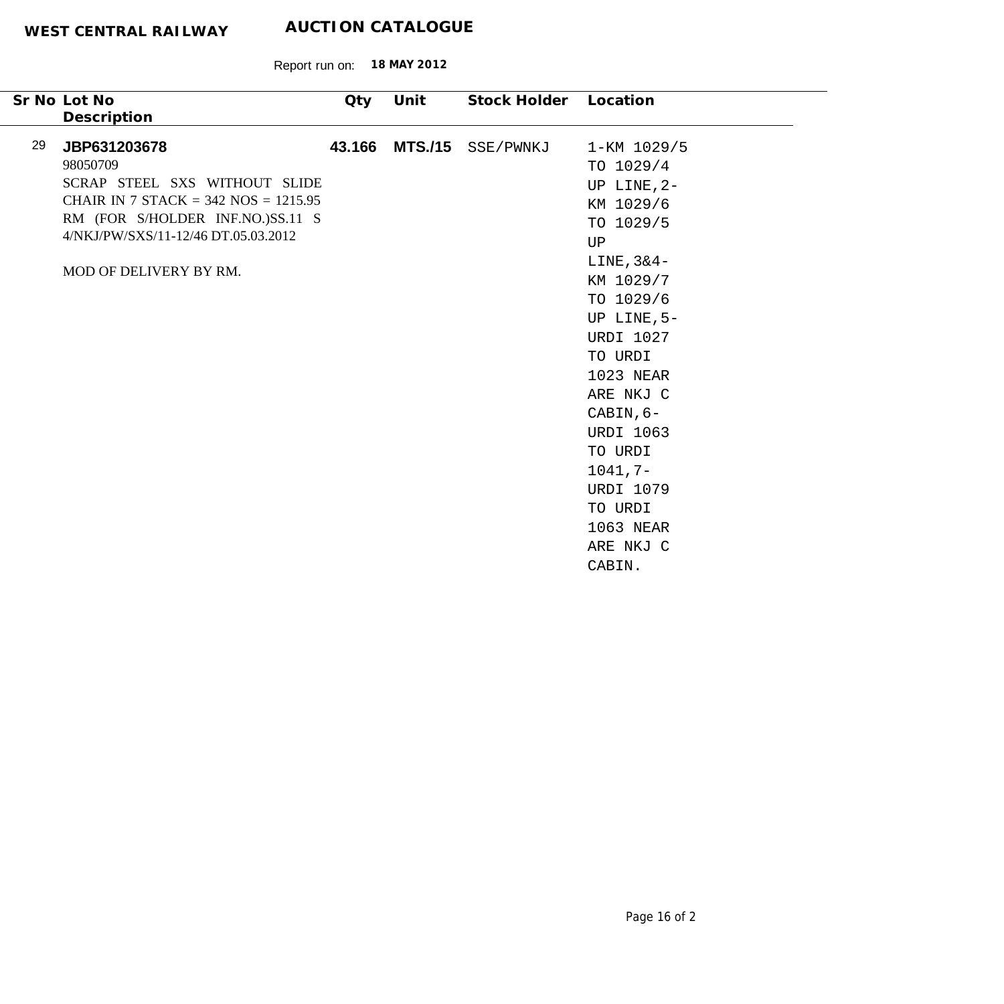Report run on: **18 MAY 2012**

|    | Sr No Lot No<br>Description                                                                                                                                                                                | Qty    | Unit | Stock Holder      | Location                                                                                                                                                                                                                                                                                                                 |
|----|------------------------------------------------------------------------------------------------------------------------------------------------------------------------------------------------------------|--------|------|-------------------|--------------------------------------------------------------------------------------------------------------------------------------------------------------------------------------------------------------------------------------------------------------------------------------------------------------------------|
| 29 | JBP631203678<br>98050709<br>SCRAP STEEL SXS WITHOUT SLIDE<br>CHAIR IN 7 STACK = $342$ NOS = $1215.95$<br>RM (FOR S/HOLDER INF.NO.)SS.11 S<br>4/NKJ/PW/SXS/11-12/46 DT.05.03.2012<br>MOD OF DELIVERY BY RM. | 43.166 |      | MTS./15 SSE/PWNKJ | 1-KM 1029/5<br>TO 1029/4<br>UP LINE, $2-$<br>KM 1029/6<br>TO 1029/5<br>UP<br>$LINE, 3&4-$<br>KM 1029/7<br>TO 1029/6<br>UP LINE, 5-<br><b>URDI 1027</b><br>TO URDI<br>1023 NEAR<br>ARE NKJ C<br>CABIN, 6-<br><b>URDI 1063</b><br>TO URDI<br>$1041, 7-$<br><b>URDI 1079</b><br>TO URDI<br>1063 NEAR<br>ARE NKJ C<br>CABIN. |
|    |                                                                                                                                                                                                            |        |      |                   |                                                                                                                                                                                                                                                                                                                          |

 $\overline{\phantom{0}}$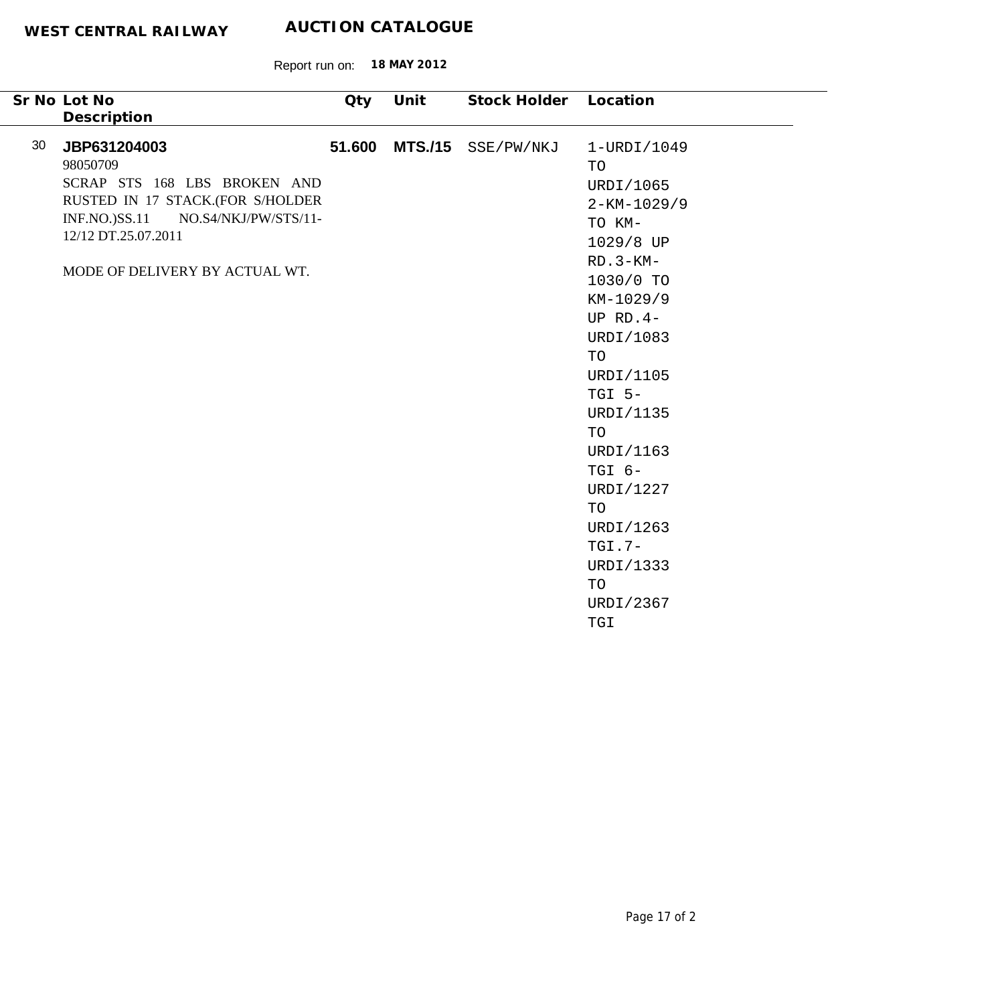|    | Sr No Lot No<br>Description                                                                                                                                                                          | Qty | Unit           | Stock Holder Location |                                                                                                                                                                                                                                                                                                                                  |
|----|------------------------------------------------------------------------------------------------------------------------------------------------------------------------------------------------------|-----|----------------|-----------------------|----------------------------------------------------------------------------------------------------------------------------------------------------------------------------------------------------------------------------------------------------------------------------------------------------------------------------------|
| 30 | JBP631204003<br>98050709<br>SCRAP STS 168 LBS BROKEN AND<br>RUSTED IN 17 STACK.(FOR S/HOLDER<br>$INF.NO.$ ) $SS.11$<br>NO.S4/NKJ/PW/STS/11-<br>12/12 DT.25.07.2011<br>MODE OF DELIVERY BY ACTUAL WT. |     | 51.600 MTS./15 | SSE/PW/NKJ            | $1-URDI/1049$<br>TO<br>URDI/1065<br>$2 - KM - 1029/9$<br>TO KM-<br>1029/8 UP<br>$RD.3-KM-$<br>1030/0 TO<br>KM-1029/9<br>UP $RD.4-$<br>URDI/1083<br><b>TO</b><br>URDI/1105<br>$TGI 5-$<br>URDI/1135<br><b>TO</b><br>URDI/1163<br>TGI 6-<br>URDI/1227<br>TO<br>URDI/1263<br>$TGI.7-$<br>URDI/1333<br>TO<br>URDI/2367<br><b>TGI</b> |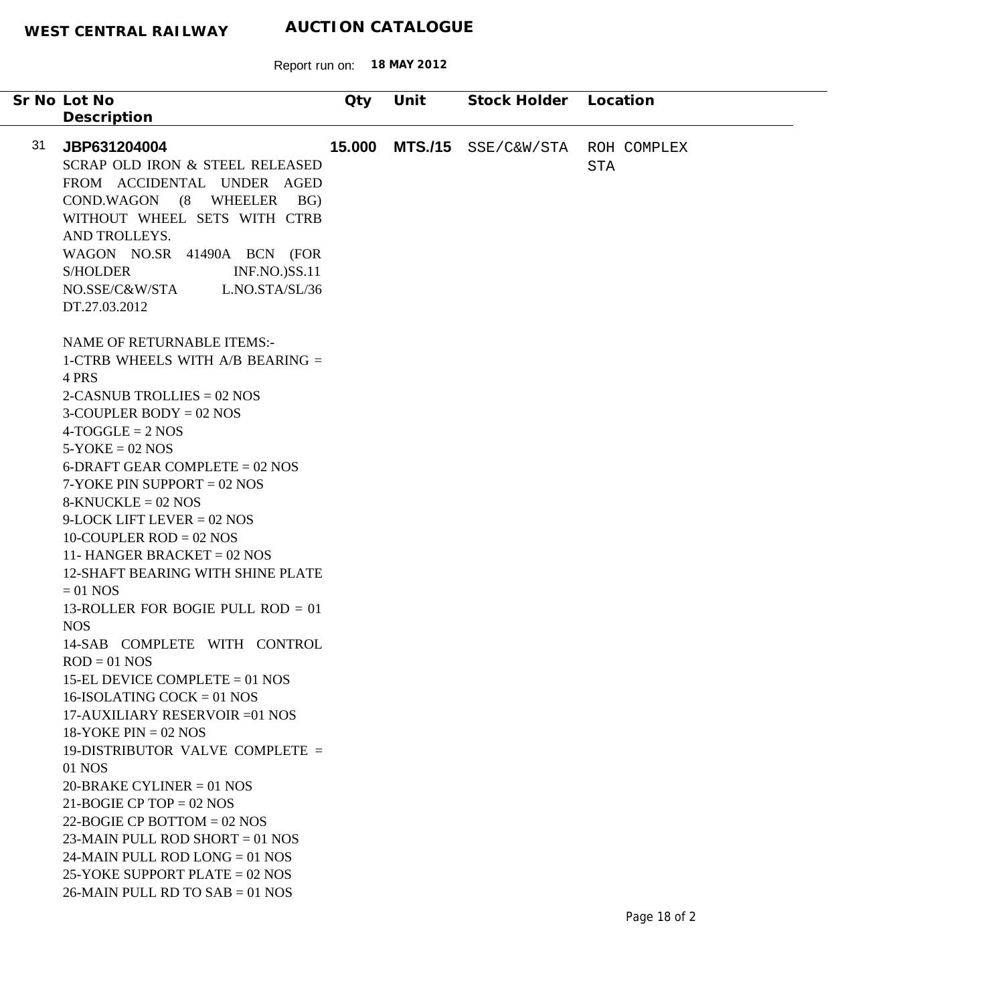| Sr No Lot No                                                                                                        | Qty    | Unit           | Stock Holder Location |                           |
|---------------------------------------------------------------------------------------------------------------------|--------|----------------|-----------------------|---------------------------|
| Description                                                                                                         |        |                |                       |                           |
| 31<br>JBP631204004<br>SCRAP OLD IRON & STEEL RELEASED<br>FROM ACCIDENTAL UNDER AGED<br>COND.WAGON (8 WHEELER<br>BG) | 15.000 | <b>MTS./15</b> | SSE/C&W/STA           | ROH COMPLEX<br><b>STA</b> |
| WITHOUT WHEEL SETS WITH CTRB<br>AND TROLLEYS.<br>WAGON NO.SR 41490A BCN (FOR                                        |        |                |                       |                           |
| <b>S/HOLDER</b><br><b>INF.NO.)SS.11</b><br>L.NO.STA/SL/36<br>NO.SSE/C&W/STA<br>DT.27.03.2012                        |        |                |                       |                           |
| <b>NAME OF RETURNABLE ITEMS:-</b><br>1-CTRB WHEELS WITH A/B BEARING =<br>4 PRS                                      |        |                |                       |                           |
| 2-CASNUB TROLLIES = $02$ NOS<br>3-COUPLER BODY = $02$ NOS<br>$4-TOGGLE = 2 NOS$                                     |        |                |                       |                           |
| $5-YOKE = 02 NOS$<br>6-DRAFT GEAR COMPLETE = $02$ NOS                                                               |        |                |                       |                           |
| $7-YOKE$ PIN SUPPORT = 02 NOS<br>$8-KNUCKLE = 02 NOS$<br>$9$ -LOCK LIFT LEVER = 02 NOS                              |        |                |                       |                           |
| 10-COUPLER ROD = $02$ NOS<br>11- HANGER BRACKET = $02$ NOS                                                          |        |                |                       |                           |
| <b>12-SHAFT BEARING WITH SHINE PLATE</b><br>$= 01$ NOS                                                              |        |                |                       |                           |
| 13-ROLLER FOR BOGIE PULL ROD $= 01$<br><b>NOS</b><br>14-SAB COMPLETE WITH CONTROL                                   |        |                |                       |                           |
| $ROD = 01 NOS$<br>15-EL DEVICE COMPLETE $= 01$ NOS                                                                  |        |                |                       |                           |
| 16-ISOLATING COCK = 01 NOS<br>17-AUXILIARY RESERVOIR = 01 NOS<br>$18-YOKE PIN = 02 NOS$                             |        |                |                       |                           |
| 19-DISTRIBUTOR VALVE COMPLETE =<br>01 NOS                                                                           |        |                |                       |                           |
| $20$ -BRAKE CYLINER = 01 NOS<br>21-BOGIE CP TOP = $02$ NOS                                                          |        |                |                       |                           |
| 22-BOGIE CP BOTTOM = $02$ NOS<br>23-MAIN PULL ROD SHORT = $01$ NOS<br>24-MAIN PULL ROD LONG $= 01$ NOS              |        |                |                       |                           |
| 25-YOKE SUPPORT PLATE = $02$ NOS<br>$26$ -MAIN PULL RD TO SAB = 01 NOS                                              |        |                |                       |                           |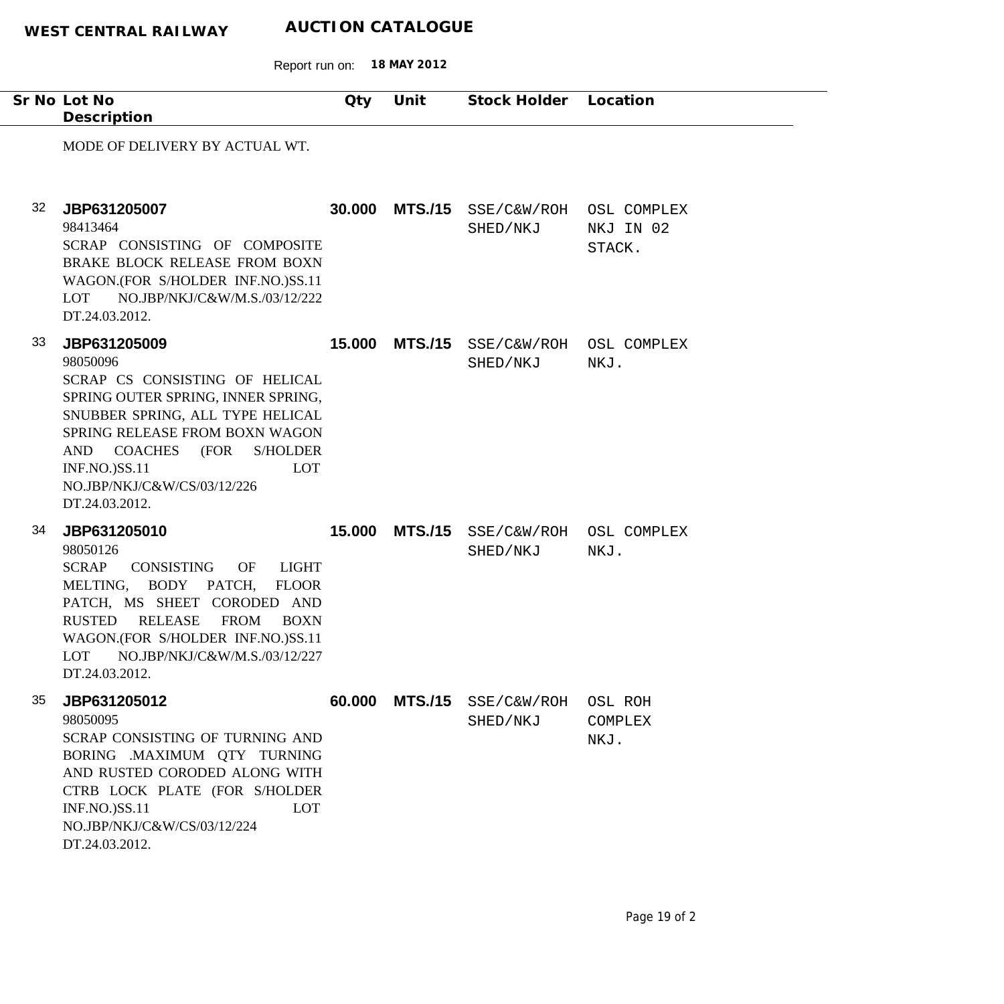|    | Sr No Lot No<br>Description                                                                                                                                                                                                                                                                                  | Qty    | Unit           | Stock Holder Location               |                                    |
|----|--------------------------------------------------------------------------------------------------------------------------------------------------------------------------------------------------------------------------------------------------------------------------------------------------------------|--------|----------------|-------------------------------------|------------------------------------|
|    | MODE OF DELIVERY BY ACTUAL WT.                                                                                                                                                                                                                                                                               |        |                |                                     |                                    |
| 32 | JBP631205007<br>98413464<br>SCRAP CONSISTING OF COMPOSITE<br>BRAKE BLOCK RELEASE FROM BOXN<br>WAGON.(FOR S/HOLDER INF.NO.)SS.11<br>NO.JBP/NKJ/C&W/M.S./03/12/222<br>LOT<br>DT.24.03.2012.                                                                                                                    | 30.000 | <b>MTS./15</b> | SSE/C&W/ROH<br>SHED/NKJ             | OSL COMPLEX<br>NKJ IN 02<br>STACK. |
| 33 | JBP631205009<br>98050096<br>SCRAP CS CONSISTING OF HELICAL<br>SPRING OUTER SPRING, INNER SPRING,<br>SNUBBER SPRING, ALL TYPE HELICAL<br>SPRING RELEASE FROM BOXN WAGON<br><b>COACHES</b><br>(FOR<br><b>S/HOLDER</b><br>AND<br><b>INF.NO.)SS.11</b><br>LOT<br>NO.JBP/NKJ/C&W/CS/03/12/226<br>DT.24.03.2012.   | 15.000 | <b>MTS./15</b> | SSE/C&W/ROH OSL COMPLEX<br>SHED/NKJ | NKJ.                               |
| 34 | JBP631205010<br>98050126<br><b>SCRAP</b><br>CONSISTING<br>OF<br>LIGHT<br>MELTING, BODY PATCH,<br><b>FLOOR</b><br>PATCH, MS SHEET CORODED AND<br><b>RUSTED</b><br><b>RELEASE</b><br><b>FROM</b><br><b>BOXN</b><br>WAGON.(FOR S/HOLDER INF.NO.)SS.11<br>NO.JBP/NKJ/C&W/M.S./03/12/227<br>LOT<br>DT.24.03.2012. | 15.000 | <b>MTS./15</b> | SSE/C&W/ROH<br>SHED/NKJ             | OSL COMPLEX<br>NKJ.                |
| 35 | JBP631205012<br>98050095<br>SCRAP CONSISTING OF TURNING AND<br>BORING .MAXIMUM QTY TURNING<br>AND RUSTED CORODED ALONG WITH<br>CTRB LOCK PLATE (FOR S/HOLDER<br><b>INF.NO.)SS.11</b><br>LOT<br>NO.JBP/NKJ/C&W/CS/03/12/224<br>DT.24.03.2012.                                                                 | 60.000 | <b>MTS./15</b> | SSE/C&W/ROH<br>SHED/NKJ             | OSL ROH<br>COMPLEX<br>NKJ.         |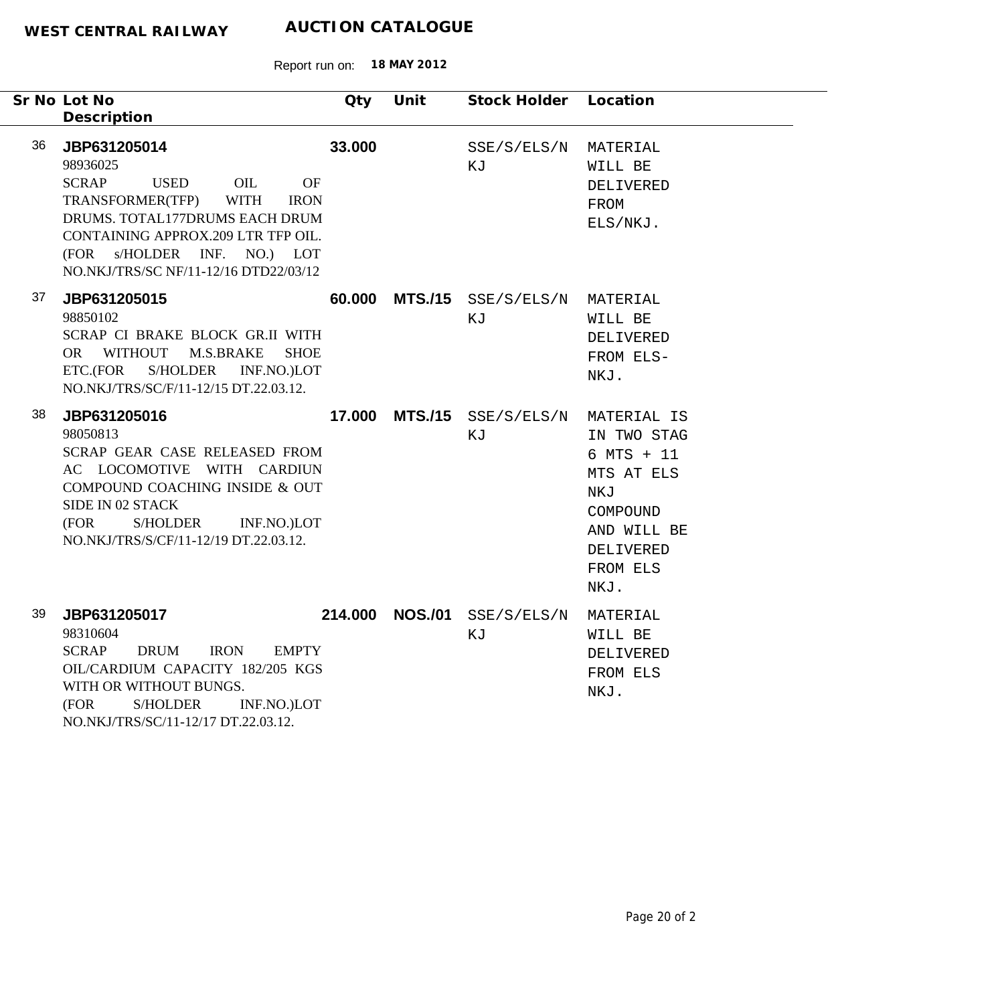|    | Sr No Lot No<br>Description                                                                                                                                                                                                                                            | Qty    | Unit            | Stock Holder Location                        |                                                                                                                |
|----|------------------------------------------------------------------------------------------------------------------------------------------------------------------------------------------------------------------------------------------------------------------------|--------|-----------------|----------------------------------------------|----------------------------------------------------------------------------------------------------------------|
| 36 | JBP631205014<br>98936025<br><b>SCRAP</b><br><b>USED</b><br>OIL<br>OF<br>TRANSFORMER(TFP)<br><b>WITH</b><br><b>IRON</b><br>DRUMS. TOTAL177DRUMS EACH DRUM<br>CONTAINING APPROX.209 LTR TFP OIL.<br>(FOR s/HOLDER INF. NO.) LOT<br>NO.NKJ/TRS/SC NF/11-12/16 DTD22/03/12 | 33.000 |                 | SSE/S/ELS/N<br>ΚJ                            | MATERIAL<br>WILL BE<br>DELIVERED<br>FROM<br>ELS/NKJ.                                                           |
| 37 | JBP631205015<br>98850102<br>SCRAP CI BRAKE BLOCK GR.II WITH<br>OR WITHOUT M.S.BRAKE<br><b>SHOE</b><br>S/HOLDER INF.NO.)LOT<br>ETC.(FOR<br>NO.NKJ/TRS/SC/F/11-12/15 DT.22.03.12.                                                                                        |        |                 | 60.000 MTS./15 SSE/S/ELS/N MATERIAL<br>ΚJ    | WILL BE<br>DELIVERED<br>FROM ELS-<br>NKJ.                                                                      |
| 38 | JBP631205016<br>98050813<br>SCRAP GEAR CASE RELEASED FROM<br>AC LOCOMOTIVE WITH CARDIUN<br>COMPOUND COACHING INSIDE & OUT<br>SIDE IN 02 STACK<br>(FOR<br>S/HOLDER INF.NO.)LOT<br>NO.NKJ/TRS/S/CF/11-12/19 DT.22.03.12.                                                 |        |                 | 17.000 MTS./15 SSE/S/ELS/N MATERIAL IS<br>ΚJ | IN TWO STAG<br>$6$ MTS + $11$<br>MTS AT ELS<br>NKJ<br>COMPOUND<br>AND WILL BE<br>DELIVERED<br>FROM ELS<br>NKJ. |
| 39 | JBP631205017<br>98310604<br><b>SCRAP</b><br><b>DRUM</b><br><b>IRON</b><br><b>EMPTY</b><br>OIL/CARDIUM CAPACITY 182/205 KGS<br>WITH OR WITHOUT BUNGS.<br><b>S/HOLDER</b><br>INF.NO.)LOT<br>(FOR<br>NO.NKJ/TRS/SC/11-12/17 DT.22.03.12.                                  |        | 214.000 NOS./01 | SSE/S/ELS/N<br>ΚJ                            | MATERIAL<br>WILL BE<br>DELIVERED<br>FROM ELS<br>NKJ.                                                           |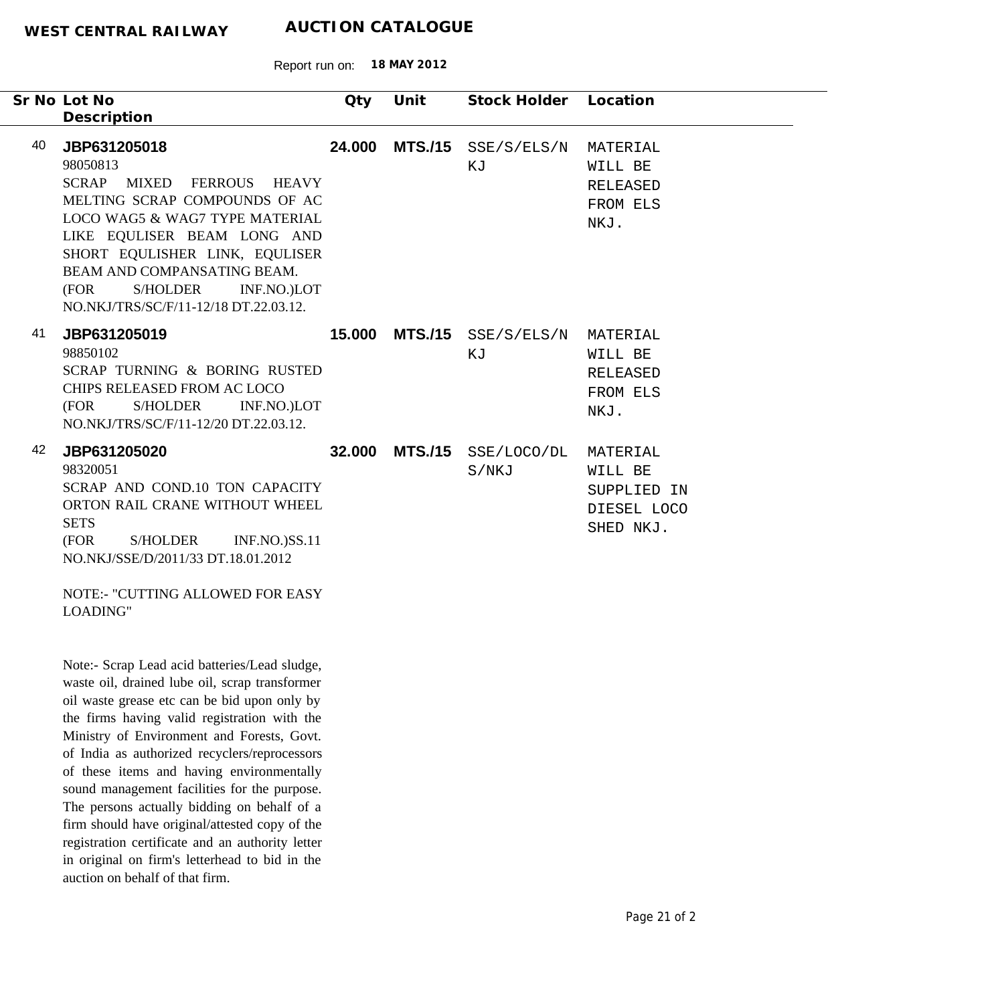Report run on: **18 MAY 2012**

|    | Sr No Lot No<br>Description                                                                                                                                                                                                                                                                                                        | Qty    | Unit | Stock Holder                       | Location                                                       |
|----|------------------------------------------------------------------------------------------------------------------------------------------------------------------------------------------------------------------------------------------------------------------------------------------------------------------------------------|--------|------|------------------------------------|----------------------------------------------------------------|
| 40 | JBP631205018<br>98050813<br><b>SCRAP</b><br><b>MIXED</b><br><b>FERROUS</b><br>HEAVY<br>MELTING SCRAP COMPOUNDS OF AC<br>LOCO WAG5 & WAG7 TYPE MATERIAL<br>LIKE EQULISER BEAM LONG AND<br>SHORT EQULISHER LINK, EQULISER<br>BEAM AND COMPANSATING BEAM.<br>(FOR<br>S/HOLDER<br>INF.NO.)LOT<br>NO.NKJ/TRS/SC/F/11-12/18 DT.22.03.12. | 24.000 |      | MTS./15 SSE/S/ELS/N<br>ΚJ          | MATERIAL<br>WILL BE<br>RELEASED<br>FROM ELS<br>NKJ.            |
| 41 | JBP631205019<br>98850102<br>SCRAP TURNING & BORING RUSTED<br>CHIPS RELEASED FROM AC LOCO<br>(FOR<br>S/HOLDER<br>INF.NO.)LOT<br>NO.NKJ/TRS/SC/F/11-12/20 DT.22.03.12.                                                                                                                                                               | 15.000 |      | MTS./15 SSE/S/ELS/N MATERIAL<br>ΚJ | WILL BE<br><b>RELEASED</b><br>FROM ELS<br>NKJ.                 |
| 42 | JBP631205020<br>98320051<br>SCRAP AND COND.10 TON CAPACITY<br>ORTON RAIL CRANE WITHOUT WHEEL<br><b>SETS</b><br>(FOR<br><b>S/HOLDER</b><br><b>INF.NO.)SS.11</b><br>NO.NKJ/SSE/D/2011/33 DT.18.01.2012<br><b>NOTE:- "CUTTING ALLOWED FOR EASY</b><br>LOADING"                                                                        | 32,000 |      | MTS./15 SSE/LOCO/DL<br>S/NKJ       | MATERIAL<br>WILL BE<br>SUPPLIED IN<br>DIESEL LOCO<br>SHED NKJ. |
|    | Note:- Scrap Lead acid batteries/Lead sludge,<br>rreate all dreined lube all cores trengformers                                                                                                                                                                                                                                    |        |      |                                    |                                                                |

waste oil, drained lube oil, scrap transformer oil waste grease etc can be bid upon only by the firms having valid registration with the Ministry of Environment and Forests, Govt. of India as authorized recyclers/reprocessors of these items and having environmentally sound management facilities for the purpose. The persons actually bidding on behalf of a firm should have original/attested copy of the registration certificate and an authority letter in original on firm's letterhead to bid in the auction on behalf of that firm.